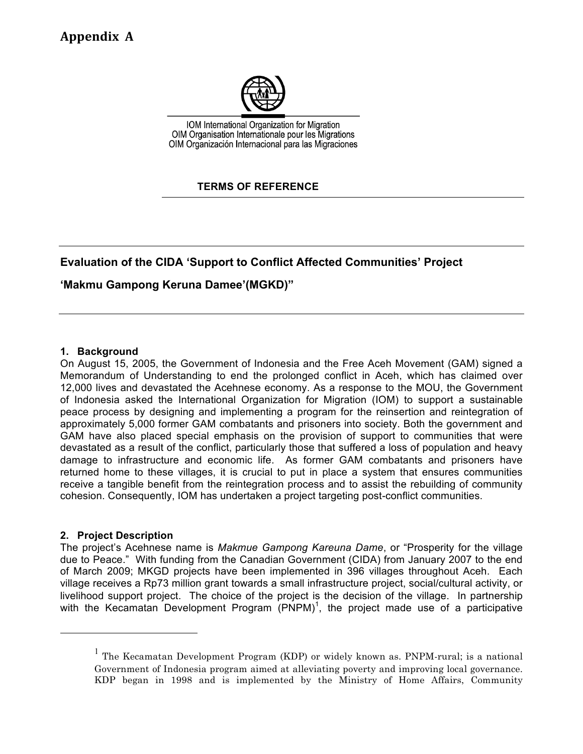

IOM International Organization for Migration OIM Organisation Internationale pour les Migrations OIM Organización Internacional para las Migraciones

# **TERMS OF REFERENCE**

# **Evaluation of the CIDA 'Support to Conflict Affected Communities' Project**

# **'Makmu Gampong Keruna Damee'(MGKD)"**

### **1. Background**

On August 15, 2005, the Government of Indonesia and the Free Aceh Movement (GAM) signed a Memorandum of Understanding to end the prolonged conflict in Aceh, which has claimed over 12,000 lives and devastated the Acehnese economy. As a response to the MOU, the Government of Indonesia asked the International Organization for Migration (IOM) to support a sustainable peace process by designing and implementing a program for the reinsertion and reintegration of approximately 5,000 former GAM combatants and prisoners into society. Both the government and GAM have also placed special emphasis on the provision of support to communities that were devastated as a result of the conflict, particularly those that suffered a loss of population and heavy damage to infrastructure and economic life. As former GAM combatants and prisoners have returned home to these villages, it is crucial to put in place a system that ensures communities receive a tangible benefit from the reintegration process and to assist the rebuilding of community cohesion. Consequently, IOM has undertaken a project targeting post-conflict communities.

### **2. Project Description**

The project's Acehnese name is *Makmue Gampong Kareuna Dame*, or "Prosperity for the village due to Peace." With funding from the Canadian Government (CIDA) from January 2007 to the end of March 2009; MKGD projects have been implemented in 396 villages throughout Aceh. Each village receives a Rp73 million grant towards a small infrastructure project, social/cultural activity, or livelihood support project. The choice of the project is the decision of the village. In partnership with the Kecamatan Development Program (PNPM)<sup>1</sup>, the project made use of a participative

<sup>&</sup>lt;sup>1</sup> The Kecamatan Development Program (KDP) or widely known as. PNPM-rural; is a national Government of Indonesia program aimed at alleviating poverty and improving local governance. KDP began in 1998 and is implemented by the Ministry of Home Affairs, Community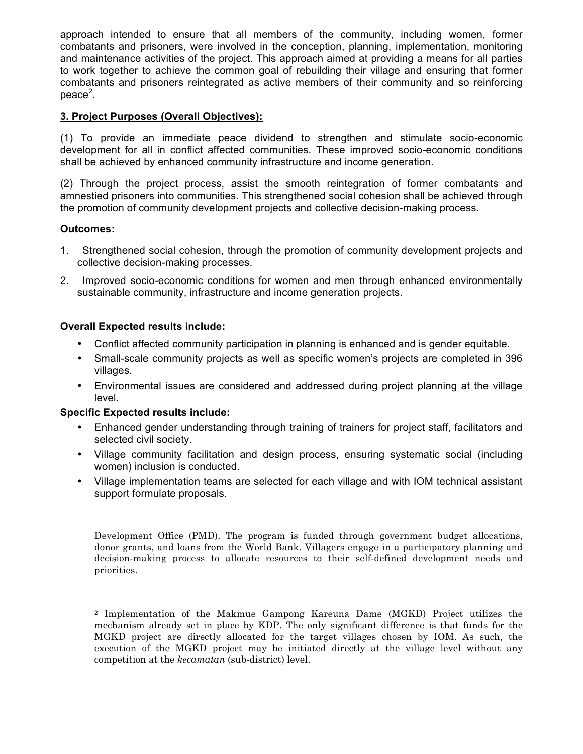approach intended to ensure that all members of the community, including women, former combatants and prisoners, were involved in the conception, planning, implementation, monitoring and maintenance activities of the project. This approach aimed at providing a means for all parties to work together to achieve the common goal of rebuilding their village and ensuring that former combatants and prisoners reintegrated as active members of their community and so reinforcing  $peace<sup>2</sup>$ .

# **3. Project Purposes (Overall Objectives):**

(1) To provide an immediate peace dividend to strengthen and stimulate socio-economic development for all in conflict affected communities. These improved socio-economic conditions shall be achieved by enhanced community infrastructure and income generation.

(2) Through the project process, assist the smooth reintegration of former combatants and amnestied prisoners into communities. This strengthened social cohesion shall be achieved through the promotion of community development projects and collective decision-making process.

# **Outcomes:**

- 1. Strengthened social cohesion, through the promotion of community development projects and collective decision-making processes.
- 2. Improved socio-economic conditions for women and men through enhanced environmentally sustainable community, infrastructure and income generation projects.

# **Overall Expected results include:**

- Conflict affected community participation in planning is enhanced and is gender equitable.
- Small-scale community projects as well as specific women's projects are completed in 396 villages.
- Environmental issues are considered and addressed during project planning at the village level.

# **Specific Expected results include:**

- Enhanced gender understanding through training of trainers for project staff, facilitators and selected civil society.
- Village community facilitation and design process, ensuring systematic social (including women) inclusion is conducted.
- Village implementation teams are selected for each village and with IOM technical assistant support formulate proposals.

Development Office (PMD). The program is funded through government budget allocations, donor grants, and loans from the World Bank. Villagers engage in a participatory planning and decision-making process to allocate resources to their self-defined development needs and priorities.

<sup>2</sup> Implementation of the Makmue Gampong Kareuna Dame (MGKD) Project utilizes the mechanism already set in place by KDP. The only significant difference is that funds for the MGKD project are directly allocated for the target villages chosen by IOM. As such, the execution of the MGKD project may be initiated directly at the village level without any competition at the *kecamatan* (sub-district) level.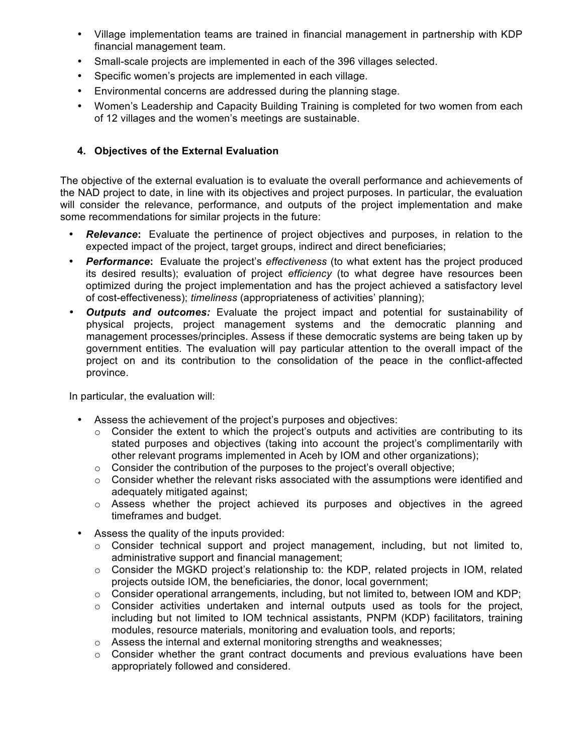- Village implementation teams are trained in financial management in partnership with KDP financial management team.
- Small-scale projects are implemented in each of the 396 villages selected.
- Specific women's projects are implemented in each village.
- Environmental concerns are addressed during the planning stage.
- Women's Leadership and Capacity Building Training is completed for two women from each of 12 villages and the women's meetings are sustainable.

# **4. Objectives of the External Evaluation**

The objective of the external evaluation is to evaluate the overall performance and achievements of the NAD project to date, in line with its objectives and project purposes. In particular, the evaluation will consider the relevance, performance, and outputs of the project implementation and make some recommendations for similar projects in the future:

- *Relevance***:** Evaluate the pertinence of project objectives and purposes, in relation to the expected impact of the project, target groups, indirect and direct beneficiaries;
- *Performance***:** Evaluate the project's *effectiveness* (to what extent has the project produced its desired results); evaluation of project *efficiency* (to what degree have resources been optimized during the project implementation and has the project achieved a satisfactory level of cost-effectiveness); *timeliness* (appropriateness of activities' planning);
- *Outputs and outcomes:* Evaluate the project impact and potential for sustainability of physical projects, project management systems and the democratic planning and management processes/principles. Assess if these democratic systems are being taken up by government entities. The evaluation will pay particular attention to the overall impact of the project on and its contribution to the consolidation of the peace in the conflict-affected province.

In particular, the evaluation will:

- Assess the achievement of the project's purposes and objectives:
	- $\circ$  Consider the extent to which the project's outputs and activities are contributing to its stated purposes and objectives (taking into account the project's complimentarily with other relevant programs implemented in Aceh by IOM and other organizations);
	- o Consider the contribution of the purposes to the project's overall objective;
	- $\circ$  Consider whether the relevant risks associated with the assumptions were identified and adequately mitigated against;
	- $\circ$  Assess whether the project achieved its purposes and objectives in the agreed timeframes and budget.
- Assess the quality of the inputs provided:
	- $\circ$  Consider technical support and project management, including, but not limited to, administrative support and financial management;
	- $\circ$  Consider the MGKD project's relationship to: the KDP, related projects in IOM, related projects outside IOM, the beneficiaries, the donor, local government;
	- $\circ$  Consider operational arrangements, including, but not limited to, between IOM and KDP;
	- $\circ$  Consider activities undertaken and internal outputs used as tools for the project, including but not limited to IOM technical assistants, PNPM (KDP) facilitators, training modules, resource materials, monitoring and evaluation tools, and reports;
	- $\circ$  Assess the internal and external monitoring strengths and weaknesses;
	- o Consider whether the grant contract documents and previous evaluations have been appropriately followed and considered.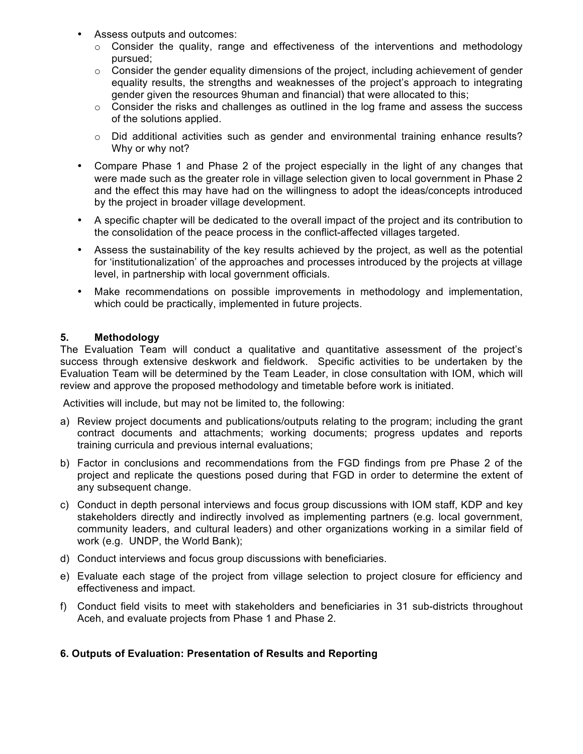- Assess outputs and outcomes:
	- o Consider the quality, range and effectiveness of the interventions and methodology pursued;
	- $\circ$  Consider the gender equality dimensions of the project, including achievement of gender equality results, the strengths and weaknesses of the project's approach to integrating gender given the resources 9human and financial) that were allocated to this;
	- o Consider the risks and challenges as outlined in the log frame and assess the success of the solutions applied.
	- o Did additional activities such as gender and environmental training enhance results? Why or why not?
- Compare Phase 1 and Phase 2 of the project especially in the light of any changes that were made such as the greater role in village selection given to local government in Phase 2 and the effect this may have had on the willingness to adopt the ideas/concepts introduced by the project in broader village development.
- A specific chapter will be dedicated to the overall impact of the project and its contribution to the consolidation of the peace process in the conflict-affected villages targeted.
- Assess the sustainability of the key results achieved by the project, as well as the potential for 'institutionalization' of the approaches and processes introduced by the projects at village level, in partnership with local government officials.
- Make recommendations on possible improvements in methodology and implementation, which could be practically, implemented in future projects.

# **5. Methodology**

The Evaluation Team will conduct a qualitative and quantitative assessment of the project's success through extensive deskwork and fieldwork. Specific activities to be undertaken by the Evaluation Team will be determined by the Team Leader, in close consultation with IOM, which will review and approve the proposed methodology and timetable before work is initiated.

Activities will include, but may not be limited to, the following:

- a) Review project documents and publications/outputs relating to the program; including the grant contract documents and attachments; working documents; progress updates and reports training curricula and previous internal evaluations;
- b) Factor in conclusions and recommendations from the FGD findings from pre Phase 2 of the project and replicate the questions posed during that FGD in order to determine the extent of any subsequent change.
- c) Conduct in depth personal interviews and focus group discussions with IOM staff, KDP and key stakeholders directly and indirectly involved as implementing partners (e.g. local government, community leaders, and cultural leaders) and other organizations working in a similar field of work (e.g. UNDP, the World Bank);
- d) Conduct interviews and focus group discussions with beneficiaries.
- e) Evaluate each stage of the project from village selection to project closure for efficiency and effectiveness and impact.
- f) Conduct field visits to meet with stakeholders and beneficiaries in 31 sub-districts throughout Aceh, and evaluate projects from Phase 1 and Phase 2.

# **6. Outputs of Evaluation: Presentation of Results and Reporting**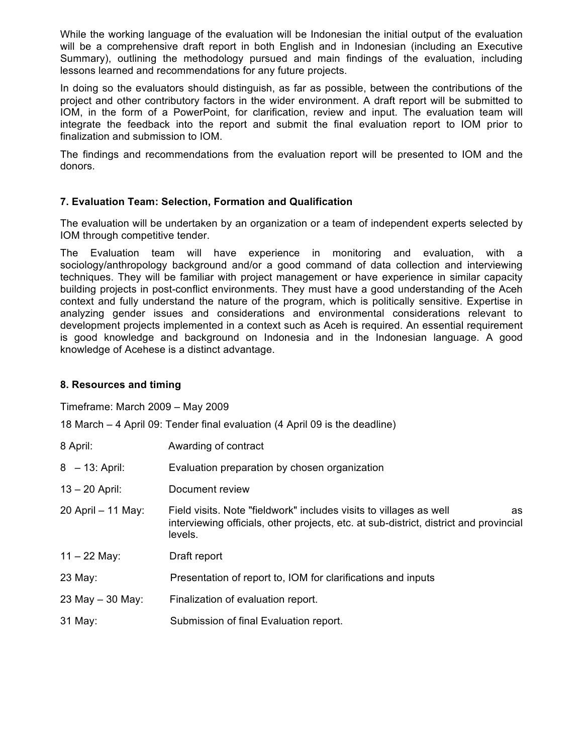While the working language of the evaluation will be Indonesian the initial output of the evaluation will be a comprehensive draft report in both English and in Indonesian (including an Executive Summary), outlining the methodology pursued and main findings of the evaluation, including lessons learned and recommendations for any future projects.

In doing so the evaluators should distinguish, as far as possible, between the contributions of the project and other contributory factors in the wider environment. A draft report will be submitted to IOM, in the form of a PowerPoint, for clarification, review and input. The evaluation team will integrate the feedback into the report and submit the final evaluation report to IOM prior to finalization and submission to IOM.

The findings and recommendations from the evaluation report will be presented to IOM and the donors.

# **7. Evaluation Team: Selection, Formation and Qualification**

The evaluation will be undertaken by an organization or a team of independent experts selected by IOM through competitive tender.

The Evaluation team will have experience in monitoring and evaluation, with a sociology/anthropology background and/or a good command of data collection and interviewing techniques. They will be familiar with project management or have experience in similar capacity building projects in post-conflict environments. They must have a good understanding of the Aceh context and fully understand the nature of the program, which is politically sensitive. Expertise in analyzing gender issues and considerations and environmental considerations relevant to development projects implemented in a context such as Aceh is required. An essential requirement is good knowledge and background on Indonesia and in the Indonesian language. A good knowledge of Acehese is a distinct advantage.

# **8. Resources and timing**

Timeframe: March 2009 – May 2009

18 March – 4 April 09: Tender final evaluation (4 April 09 is the deadline)

| 8 April:           | Awarding of contract                                                                                                                                                         |
|--------------------|------------------------------------------------------------------------------------------------------------------------------------------------------------------------------|
| $8 - 13$ : April:  | Evaluation preparation by chosen organization                                                                                                                                |
| $13 - 20$ April:   | Document review                                                                                                                                                              |
| 20 April - 11 May: | Field visits. Note "fieldwork" includes visits to villages as well<br>as<br>interviewing officials, other projects, etc. at sub-district, district and provincial<br>levels. |
| $11 - 22$ May:     | Draft report                                                                                                                                                                 |
| 23 May:            | Presentation of report to, IOM for clarifications and inputs                                                                                                                 |
| 23 May $-$ 30 May: | Finalization of evaluation report.                                                                                                                                           |
| 31 May:            | Submission of final Evaluation report.                                                                                                                                       |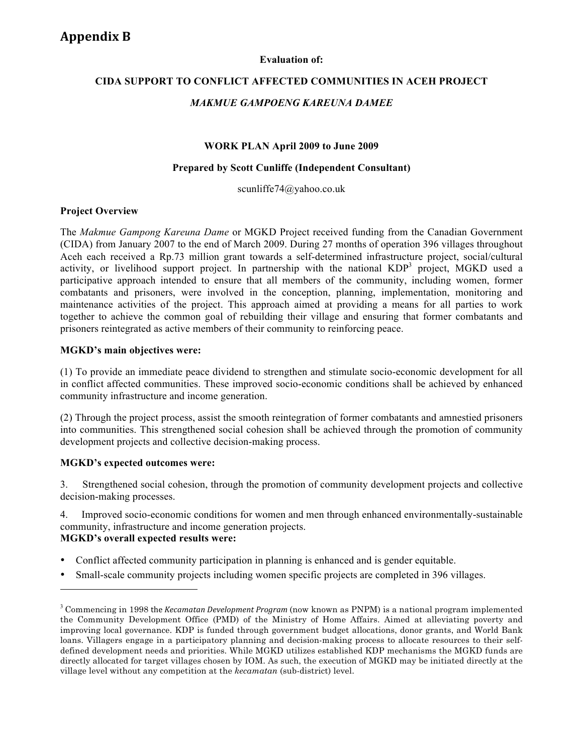#### **Evaluation of:**

# **CIDA SUPPORT TO CONFLICT AFFECTED COMMUNITIES IN ACEH PROJECT**

### *MAKMUE GAMPOENG KAREUNA DAMEE*

#### **WORK PLAN April 2009 to June 2009**

#### **Prepared by Scott Cunliffe (Independent Consultant)**

scunliffe74@yahoo.co.uk

#### **Project Overview**

The *Makmue Gampong Kareuna Dame* or MGKD Project received funding from the Canadian Government (CIDA) from January 2007 to the end of March 2009. During 27 months of operation 396 villages throughout Aceh each received a Rp.73 million grant towards a self-determined infrastructure project, social/cultural activity, or livelihood support project. In partnership with the national KDP<sup>3</sup> project, MGKD used a participative approach intended to ensure that all members of the community, including women, former combatants and prisoners, were involved in the conception, planning, implementation, monitoring and maintenance activities of the project. This approach aimed at providing a means for all parties to work together to achieve the common goal of rebuilding their village and ensuring that former combatants and prisoners reintegrated as active members of their community to reinforcing peace.

### **MGKD's main objectives were:**

(1) To provide an immediate peace dividend to strengthen and stimulate socio-economic development for all in conflict affected communities. These improved socio-economic conditions shall be achieved by enhanced community infrastructure and income generation.

(2) Through the project process, assist the smooth reintegration of former combatants and amnestied prisoners into communities. This strengthened social cohesion shall be achieved through the promotion of community development projects and collective decision-making process.

### **MGKD's expected outcomes were:**

3. Strengthened social cohesion, through the promotion of community development projects and collective decision-making processes.

4. Improved socio-economic conditions for women and men through enhanced environmentally-sustainable community, infrastructure and income generation projects.

### **MGKD's overall expected results were:**

- Conflict affected community participation in planning is enhanced and is gender equitable.
- Small-scale community projects including women specific projects are completed in 396 villages.

<sup>3</sup> Commencing in 1998 the *Kecamatan
Development
Program* (now known as PNPM) is a national program implemented the Community Development Office (PMD) of the Ministry of Home Affairs. Aimed at alleviating poverty and improving local governance. KDP is funded through government budget allocations, donor grants, and World Bank loans. Villagers engage in a participatory planning and decision-making process to allocate resources to their selfdefined development needs and priorities. While MGKD utilizes established KDP mechanisms the MGKD funds are directly allocated for target villages chosen by IOM. As such, the execution of MGKD may be initiated directly at the village level without any competition at the *kecamatan* (sub-district) level.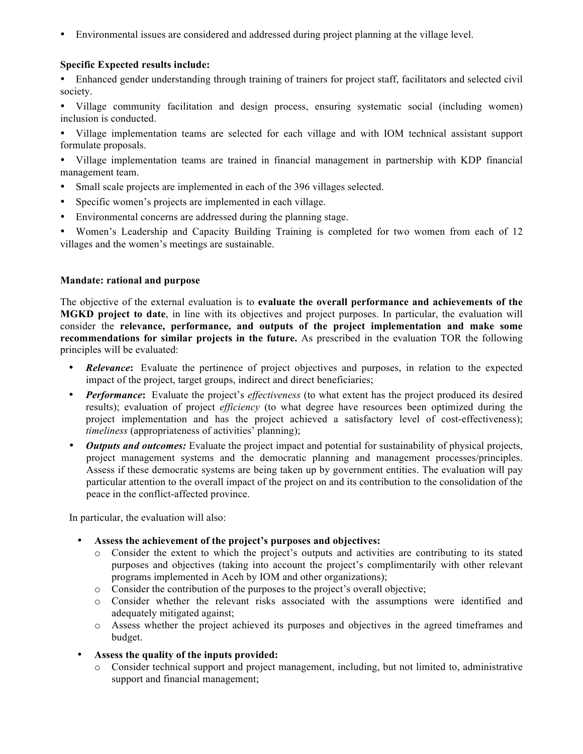• Environmental issues are considered and addressed during project planning at the village level.

### **Specific Expected results include:**

• Enhanced gender understanding through training of trainers for project staff, facilitators and selected civil society.

• Village community facilitation and design process, ensuring systematic social (including women) inclusion is conducted.

• Village implementation teams are selected for each village and with IOM technical assistant support formulate proposals.

• Village implementation teams are trained in financial management in partnership with KDP financial management team.

- Small scale projects are implemented in each of the 396 villages selected.
- Specific women's projects are implemented in each village.
- Environmental concerns are addressed during the planning stage.

• Women's Leadership and Capacity Building Training is completed for two women from each of 12 villages and the women's meetings are sustainable.

#### **Mandate: rational and purpose**

The objective of the external evaluation is to **evaluate the overall performance and achievements of the MGKD project to date**, in line with its objectives and project purposes. In particular, the evaluation will consider the **relevance, performance, and outputs of the project implementation and make some recommendations for similar projects in the future.** As prescribed in the evaluation TOR the following principles will be evaluated:

- *Relevance***:** Evaluate the pertinence of project objectives and purposes, in relation to the expected impact of the project, target groups, indirect and direct beneficiaries;
- *Performance***:** Evaluate the project's *effectiveness* (to what extent has the project produced its desired results); evaluation of project *efficiency* (to what degree have resources been optimized during the project implementation and has the project achieved a satisfactory level of cost-effectiveness); *timeliness* (appropriateness of activities' planning);
- *Outputs and outcomes:* Evaluate the project impact and potential for sustainability of physical projects, project management systems and the democratic planning and management processes/principles. Assess if these democratic systems are being taken up by government entities. The evaluation will pay particular attention to the overall impact of the project on and its contribution to the consolidation of the peace in the conflict-affected province.

In particular, the evaluation will also:

- **Assess the achievement of the project's purposes and objectives:**
	- o Consider the extent to which the project's outputs and activities are contributing to its stated purposes and objectives (taking into account the project's complimentarily with other relevant programs implemented in Aceh by IOM and other organizations);
	- o Consider the contribution of the purposes to the project's overall objective;
	- o Consider whether the relevant risks associated with the assumptions were identified and adequately mitigated against;
	- o Assess whether the project achieved its purposes and objectives in the agreed timeframes and budget.
- **Assess the quality of the inputs provided:**
	- o Consider technical support and project management, including, but not limited to, administrative support and financial management;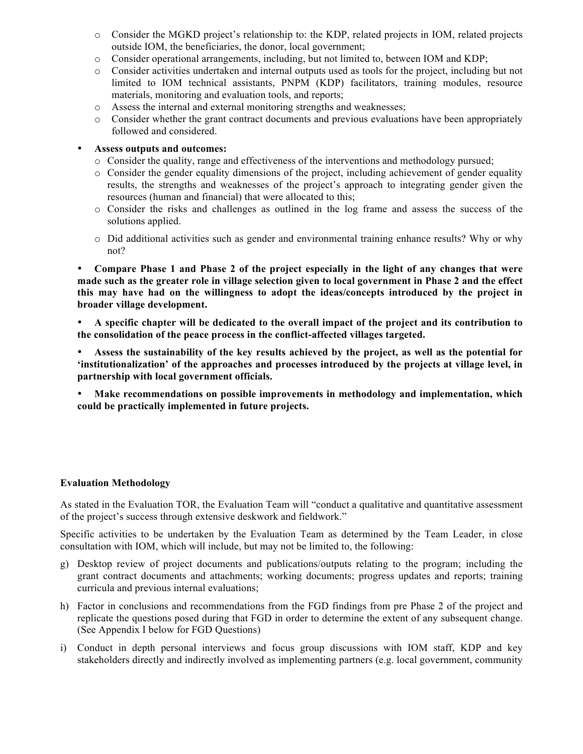- o Consider the MGKD project's relationship to: the KDP, related projects in IOM, related projects outside IOM, the beneficiaries, the donor, local government;
- o Consider operational arrangements, including, but not limited to, between IOM and KDP;
- o Consider activities undertaken and internal outputs used as tools for the project, including but not limited to IOM technical assistants, PNPM (KDP) facilitators, training modules, resource materials, monitoring and evaluation tools, and reports;
- o Assess the internal and external monitoring strengths and weaknesses;
- o Consider whether the grant contract documents and previous evaluations have been appropriately followed and considered.

### • **Assess outputs and outcomes:**

- o Consider the quality, range and effectiveness of the interventions and methodology pursued;
- $\circ$  Consider the gender equality dimensions of the project, including achievement of gender equality results, the strengths and weaknesses of the project's approach to integrating gender given the resources (human and financial) that were allocated to this;
- o Consider the risks and challenges as outlined in the log frame and assess the success of the solutions applied.
- o Did additional activities such as gender and environmental training enhance results? Why or why not?

• **Compare Phase 1 and Phase 2 of the project especially in the light of any changes that were made such as the greater role in village selection given to local government in Phase 2 and the effect this may have had on the willingness to adopt the ideas/concepts introduced by the project in broader village development.**

- **A specific chapter will be dedicated to the overall impact of the project and its contribution to the consolidation of the peace process in the conflict-affected villages targeted.**
- **Assess the sustainability of the key results achieved by the project, as well as the potential for 'institutionalization' of the approaches and processes introduced by the projects at village level, in partnership with local government officials.**
- **Make recommendations on possible improvements in methodology and implementation, which could be practically implemented in future projects.**

### **Evaluation Methodology**

As stated in the Evaluation TOR, the Evaluation Team will "conduct a qualitative and quantitative assessment of the project's success through extensive deskwork and fieldwork."

Specific activities to be undertaken by the Evaluation Team as determined by the Team Leader, in close consultation with IOM, which will include, but may not be limited to, the following:

- g) Desktop review of project documents and publications/outputs relating to the program; including the grant contract documents and attachments; working documents; progress updates and reports; training curricula and previous internal evaluations;
- h) Factor in conclusions and recommendations from the FGD findings from pre Phase 2 of the project and replicate the questions posed during that FGD in order to determine the extent of any subsequent change. (See Appendix I below for FGD Questions)
- i) Conduct in depth personal interviews and focus group discussions with IOM staff, KDP and key stakeholders directly and indirectly involved as implementing partners (e.g. local government, community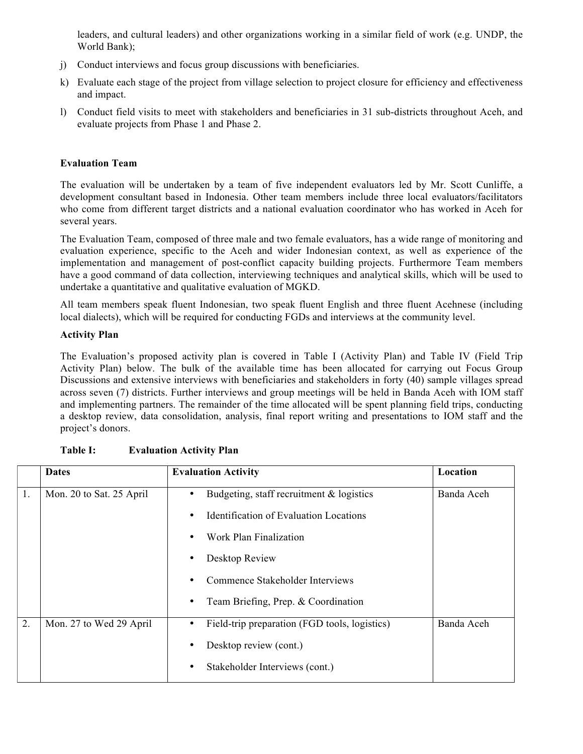leaders, and cultural leaders) and other organizations working in a similar field of work (e.g. UNDP, the World Bank);

- j) Conduct interviews and focus group discussions with beneficiaries.
- k) Evaluate each stage of the project from village selection to project closure for efficiency and effectiveness and impact.
- l) Conduct field visits to meet with stakeholders and beneficiaries in 31 sub-districts throughout Aceh, and evaluate projects from Phase 1 and Phase 2.

### **Evaluation Team**

The evaluation will be undertaken by a team of five independent evaluators led by Mr. Scott Cunliffe, a development consultant based in Indonesia. Other team members include three local evaluators/facilitators who come from different target districts and a national evaluation coordinator who has worked in Aceh for several years.

The Evaluation Team, composed of three male and two female evaluators, has a wide range of monitoring and evaluation experience, specific to the Aceh and wider Indonesian context, as well as experience of the implementation and management of post-conflict capacity building projects. Furthermore Team members have a good command of data collection, interviewing techniques and analytical skills, which will be used to undertake a quantitative and qualitative evaluation of MGKD.

All team members speak fluent Indonesian, two speak fluent English and three fluent Acehnese (including local dialects), which will be required for conducting FGDs and interviews at the community level.

### **Activity Plan**

The Evaluation's proposed activity plan is covered in Table I (Activity Plan) and Table IV (Field Trip Activity Plan) below. The bulk of the available time has been allocated for carrying out Focus Group Discussions and extensive interviews with beneficiaries and stakeholders in forty (40) sample villages spread across seven (7) districts. Further interviews and group meetings will be held in Banda Aceh with IOM staff and implementing partners. The remainder of the time allocated will be spent planning field trips, conducting a desktop review, data consolidation, analysis, final report writing and presentations to IOM staff and the project's donors.

|    | <b>Dates</b>             | <b>Evaluation Activity</b>                         | Location   |
|----|--------------------------|----------------------------------------------------|------------|
| 1. | Mon. 20 to Sat. 25 April | Budgeting, staff recruitment $\&$ logistics<br>٠   | Banda Aceh |
|    |                          | <b>Identification of Evaluation Locations</b><br>٠ |            |
|    |                          | Work Plan Finalization                             |            |
|    |                          | Desktop Review<br>٠                                |            |
|    |                          | Commence Stakeholder Interviews                    |            |
|    |                          | Team Briefing, Prep. & Coordination<br>٠           |            |
| 2. | Mon. 27 to Wed 29 April  | Field-trip preparation (FGD tools, logistics)<br>٠ | Banda Aceh |
|    |                          | Desktop review (cont.)                             |            |
|    |                          | Stakeholder Interviews (cont.)<br>٠                |            |

| <b>Table I:</b> | <b>Evaluation Activity Plan</b> |
|-----------------|---------------------------------|
|                 |                                 |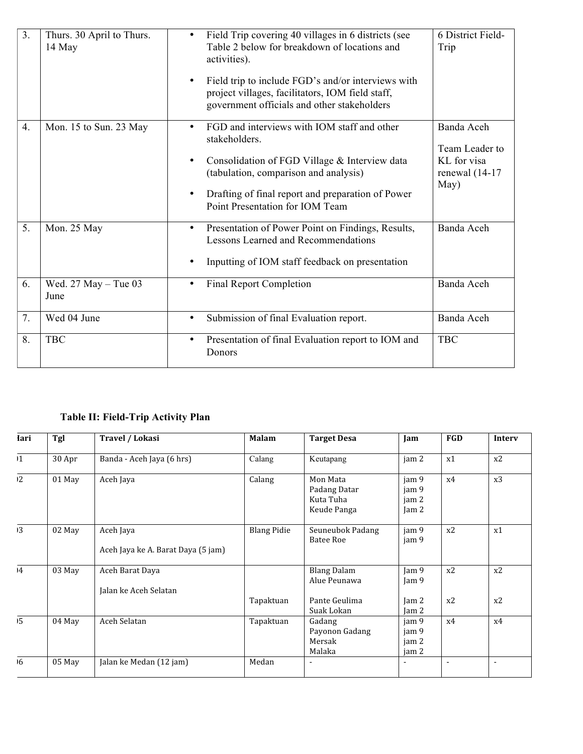| 3 <sub>1</sub> | Thurs. 30 April to Thurs.<br>14 May | Field Trip covering 40 villages in 6 districts (see<br>$\bullet$<br>Table 2 below for breakdown of locations and<br>activities).<br>Field trip to include FGD's and/or interviews with<br>$\bullet$<br>project villages, facilitators, IOM field staff,<br>government officials and other stakeholders | 6 District Field-<br>Trip                                                |
|----------------|-------------------------------------|--------------------------------------------------------------------------------------------------------------------------------------------------------------------------------------------------------------------------------------------------------------------------------------------------------|--------------------------------------------------------------------------|
| 4.             | Mon. 15 to Sun. 23 May              | FGD and interviews with IOM staff and other<br>$\bullet$<br>stakeholders.<br>Consolidation of FGD Village & Interview data<br>$\bullet$<br>(tabulation, comparison and analysis)<br>Drafting of final report and preparation of Power<br>$\bullet$<br>Point Presentation for IOM Team                  | Banda Aceh<br>Team Leader to<br>KL for visa<br>renewal $(14-17)$<br>May) |
| 5.             | Mon. 25 May                         | Presentation of Power Point on Findings, Results,<br>٠<br><b>Lessons Learned and Recommendations</b><br>Inputting of IOM staff feedback on presentation                                                                                                                                                | Banda Aceh                                                               |
| 6.             | Wed. $27$ May $-$ Tue 03<br>June    | <b>Final Report Completion</b><br>٠                                                                                                                                                                                                                                                                    | Banda Aceh                                                               |
| 7.             | Wed 04 June                         | Submission of final Evaluation report.<br>$\bullet$                                                                                                                                                                                                                                                    | Banda Aceh                                                               |
| 8.             | <b>TBC</b>                          | Presentation of final Evaluation report to IOM and<br>$\bullet$<br>Donors                                                                                                                                                                                                                              | <b>TBC</b>                                                               |

# **Table II: Field-Trip Activity Plan**

| <b>Iari</b>     | Tgl    | Travel / Lokasi                                 | <b>Malam</b>       | <b>Target Desa</b>                                   | Jam                                          | FGD            | Interv         |
|-----------------|--------|-------------------------------------------------|--------------------|------------------------------------------------------|----------------------------------------------|----------------|----------------|
| $\mathbf{1}$    | 30 Apr | Banda - Aceh Jaya (6 hrs)                       | Calang             | Keutapang                                            | jam 2                                        | x1             | x2             |
| 12              | 01 May | Aceh Jaya                                       | Calang             | Mon Mata<br>Padang Datar<br>Kuta Tuha<br>Keude Panga | jam 9<br>jam 9<br>jam 2<br>$\mathrm{J}$ am 2 | x4             | x3             |
| 13              | 02 May | Aceh Jaya<br>Aceh Jaya ke A. Barat Daya (5 jam) | <b>Blang Pidie</b> | Seuneubok Padang<br><b>Batee Roe</b>                 | jam 9<br>jam 9                               | x2             | x1             |
| $\overline{14}$ | 03 May | Aceh Barat Daya<br>Jalan ke Aceh Selatan        |                    | <b>Blang Dalam</b><br>Alue Peunawa                   | $\mathrm{I}$ am 9<br>$\mathrm{Iam}\,9$       | x2             | x2             |
|                 |        |                                                 | Tapaktuan          | Pante Geulima<br>Suak Lokan                          | $\mathrm{I}$ am 2<br>Jam 2                   | x2             | x2             |
| 15              | 04 May | Aceh Selatan                                    | Tapaktuan          | Gadang<br>Payonon Gadang<br>Mersak<br>Malaka         | jam 9<br>jam 9<br>jam 2<br>jam 2             | x4             | x4             |
| 16              | 05 May | Jalan ke Medan (12 jam)                         | Medan              | $\blacksquare$                                       | $\blacksquare$                               | $\blacksquare$ | $\blacksquare$ |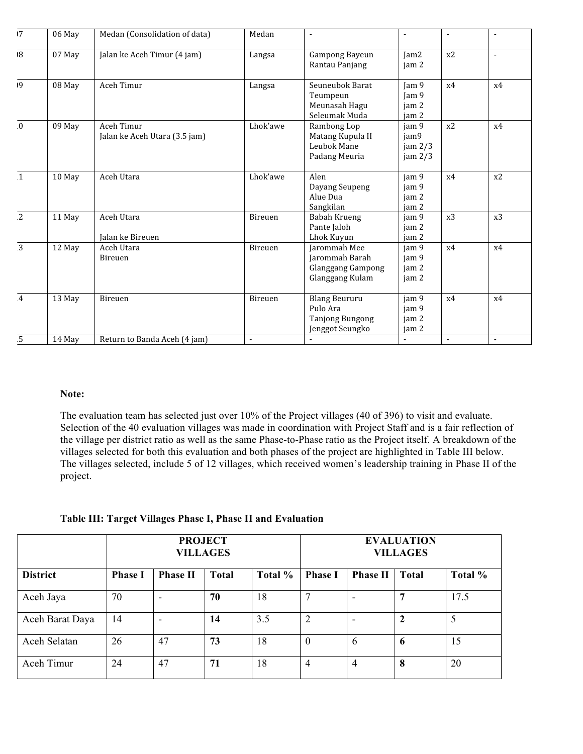| 17             | 06 May | Medan (Consolidation of data)               | Medan    | $\blacksquare$                                                                | $\overline{a}$                              | $\blacksquare$ | $\sim$         |
|----------------|--------|---------------------------------------------|----------|-------------------------------------------------------------------------------|---------------------------------------------|----------------|----------------|
| $\overline{8}$ | 07 May | Jalan ke Aceh Timur (4 jam)                 | Langsa   | Gampong Bayeun<br>Rantau Panjang                                              | lam2<br>jam 2                               | x2             | $\blacksquare$ |
| 9              | 08 May | Aceh Timur                                  | Langsa   | Seuneubok Barat<br>Teumpeun<br>Meunasah Hagu<br>Seleumak Muda                 | Iam <sub>9</sub><br>Jam 9<br>jam 2<br>jam 2 | x4             | x4             |
| $\overline{0}$ | 09 May | Aceh Timur<br>Jalan ke Aceh Utara (3.5 jam) | Lhok'awe | Rambong Lop<br>Matang Kupula II<br>Leubok Mane<br>Padang Meuria               | jam 9<br>jam9<br>jam 2/3<br>jam 2/3         | x2             | x4             |
| $\mathbf{1}$   | 10 May | Aceh Utara                                  | Lhok'awe | Alen<br>Dayang Seupeng<br>Alue Dua<br>Sangkilan                               | jam 9<br>jam 9<br>jam 2<br>jam 2            | x4             | x2             |
| $\overline{2}$ | 11 May | Aceh Utara<br>Jalan ke Bireuen              | Bireuen  | Babah Krueng<br>Pante Jaloh<br>Lhok Kuyun                                     | jam 9<br>jam 2<br>jam 2                     | x3             | x3             |
| $\overline{3}$ | 12 May | Aceh Utara<br>Bireuen                       | Bireuen  | Jarommah Mee<br>Jarommah Barah<br><b>Glanggang Gampong</b><br>Glanggang Kulam | jam 9<br>iam 9<br>jam 2<br>jam 2            | x4             | x4             |
| $\overline{4}$ | 13 May | Bireuen                                     | Bireuen  | <b>Blang Beururu</b><br>Pulo Ara<br><b>Tanjong Bungong</b><br>Jenggot Seungko | jam 9<br>jam 9<br>jam 2<br>jam 2            | x4             | x4             |
| $\overline{5}$ | 14 May | Return to Banda Aceh (4 jam)                |          |                                                                               | $\blacksquare$                              | $\blacksquare$ |                |

### **Note:**

The evaluation team has selected just over 10% of the Project villages (40 of 396) to visit and evaluate. Selection of the 40 evaluation villages was made in coordination with Project Staff and is a fair reflection of the village per district ratio as well as the same Phase-to-Phase ratio as the Project itself. A breakdown of the villages selected for both this evaluation and both phases of the project are highlighted in Table III below. The villages selected, include 5 of 12 villages, which received women's leadership training in Phase II of the project.

**Table III: Target Villages Phase I, Phase II and Evaluation**

|                 | <b>PROJECT</b><br><b>VILLAGES</b> |                          |              |         |                | <b>EVALUATION</b><br><b>VILLAGES</b> |              |         |  |
|-----------------|-----------------------------------|--------------------------|--------------|---------|----------------|--------------------------------------|--------------|---------|--|
| <b>District</b> | <b>Phase I</b>                    | <b>Phase II</b>          | <b>Total</b> | Total % | <b>Phase I</b> | <b>Phase II</b>                      | <b>Total</b> | Total % |  |
| Aceh Jaya       | 70                                | ٠                        | 70           | 18      | 7              |                                      | 7            | 17.5    |  |
| Aceh Barat Daya | 14                                | $\overline{\phantom{a}}$ | 14           | 3.5     | 2              | $\overline{\phantom{0}}$             | $\mathbf{2}$ | 5       |  |
| Aceh Selatan    | 26                                | 47                       | 73           | 18      | 0              | 6                                    | 6            | 15      |  |
| Aceh Timur      | 24                                | 47                       | 71           | 18      | 4              | $\overline{4}$                       | 8            | 20      |  |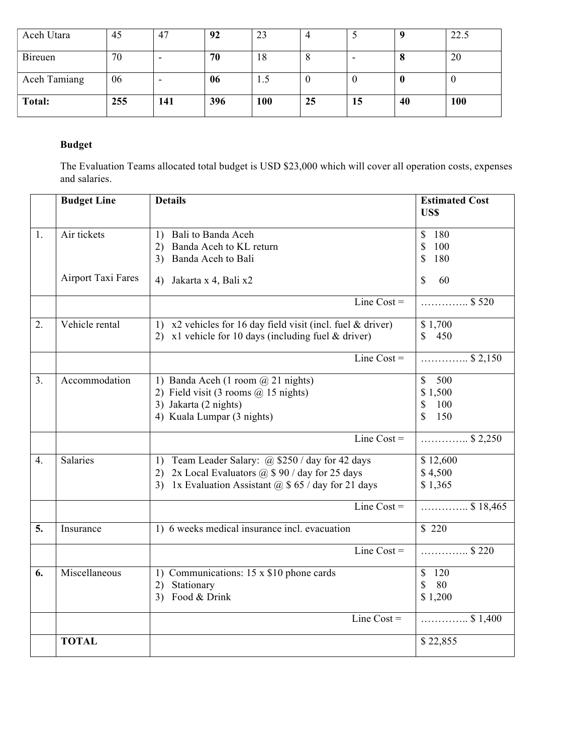| Aceh Utara     | 45  | 47  | 92  | 23  |         |    |    | 22.5 |
|----------------|-----|-----|-----|-----|---------|----|----|------|
| <b>Bireuen</b> | 70  |     | 70  | 18  | $\circ$ |    | О  | 20   |
| Aceh Tamiang   | 06  |     | 06  | 1.5 |         |    | v  |      |
| <b>Total:</b>  | 255 | 141 | 396 | 100 | 25      | 15 | 40 | 100  |

# **Budget**

The Evaluation Teams allocated total budget is USD \$23,000 which will cover all operation costs, expenses and salaries.

|                  | <b>Budget Line</b> | <b>Details</b>                                                 | <b>Estimated Cost</b> |
|------------------|--------------------|----------------------------------------------------------------|-----------------------|
|                  |                    |                                                                | <b>USS</b>            |
|                  |                    |                                                                |                       |
| 1.               | Air tickets        | Bali to Banda Aceh<br>1)                                       | \$<br>180             |
|                  |                    | Banda Aceh to KL return<br>2)                                  | \$<br>100             |
|                  |                    | Banda Aceh to Bali<br>3)                                       | \$<br>180             |
|                  | Airport Taxi Fares | Jakarta x 4, Bali x2<br>4)                                     | \$<br>60              |
|                  |                    | Line $Cost =$                                                  | \$520<br>.            |
| 2.               | Vehicle rental     | 1) $x^2$ vehicles for 16 day field visit (incl. fuel & driver) | \$1,700               |
|                  |                    | 2) x1 vehicle for 10 days (including fuel $&$ driver)          | 450<br>$\mathbb{S}$   |
|                  |                    | Line Cost $=$                                                  | $\ldots$ \$ 2,150     |
| 3.               | Accommodation      | 1) Banda Aceh (1 room $@$ 21 nights)                           | $\mathcal{S}$<br>500  |
|                  |                    | 2) Field visit (3 rooms @ 15 nights)                           | \$1,500               |
|                  |                    | 3) Jakarta (2 nights)                                          | \$<br>100             |
|                  |                    | 4) Kuala Lumpar (3 nights)                                     | \$<br>150             |
|                  |                    |                                                                |                       |
|                  |                    | Line Cost $=$                                                  | $\ldots$ \$ 2,250     |
| $\overline{4}$ . | Salaries           | Team Leader Salary: @ \$250 / day for 42 days<br>1)            | \$12,600              |
|                  |                    | 2x Local Evaluators $(a)$ \$ 90 / day for 25 days<br>2)        | \$4,500               |
|                  |                    | 1x Evaluation Assistant $\omega$ \$ 65 / day for 21 days<br>3) | \$1,365               |
|                  |                    | Line Cost $=$                                                  | $\ldots$ \$18,465     |
| 5.               | Insurance          | 1) 6 weeks medical insurance incl. evacuation                  | \$220                 |
|                  |                    | Line Cost $=$                                                  | $\ldots$ \$220        |
| 6.               | Miscellaneous      | 1) Communications: 15 x \$10 phone cards                       | \$<br>120             |
|                  |                    | Stationary<br>2)                                               | 80<br>\$              |
|                  |                    | Food & Drink<br>3)                                             | \$1,200               |
|                  |                    | Line Cost $=$                                                  | $\ldots$ \$1,400      |
|                  | <b>TOTAL</b>       |                                                                | \$22,855              |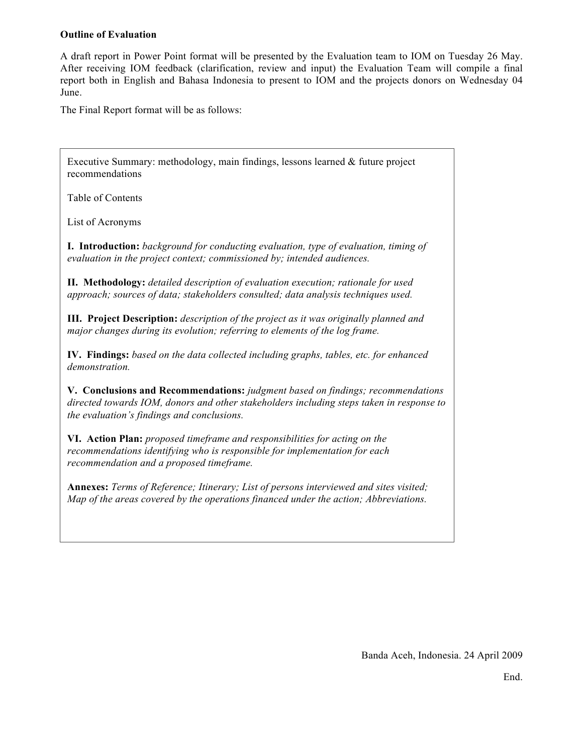### **Outline of Evaluation**

A draft report in Power Point format will be presented by the Evaluation team to IOM on Tuesday 26 May. After receiving IOM feedback (clarification, review and input) the Evaluation Team will compile a final report both in English and Bahasa Indonesia to present to IOM and the projects donors on Wednesday 04 June.

The Final Report format will be as follows:

Executive Summary: methodology, main findings, lessons learned & future project recommendations

Table of Contents

List of Acronyms

**I. Introduction:** *background for conducting evaluation, type of evaluation, timing of evaluation in the project context; commissioned by; intended audiences.*

**II. Methodology:** *detailed description of evaluation execution; rationale for used approach; sources of data; stakeholders consulted; data analysis techniques used.* 

**III. Project Description:** *description of the project as it was originally planned and major changes during its evolution; referring to elements of the log frame.*

**IV. Findings:** *based on the data collected including graphs, tables, etc. for enhanced demonstration.*

**V. Conclusions and Recommendations:** *judgment based on findings; recommendations directed towards IOM, donors and other stakeholders including steps taken in response to the evaluation's findings and conclusions.*

**VI. Action Plan:** *proposed timeframe and responsibilities for acting on the recommendations identifying who is responsible for implementation for each recommendation and a proposed timeframe.*

**Annexes:** *Terms of Reference; Itinerary; List of persons interviewed and sites visited; Map of the areas covered by the operations financed under the action; Abbreviations.*

Banda Aceh, Indonesia. 24 April 2009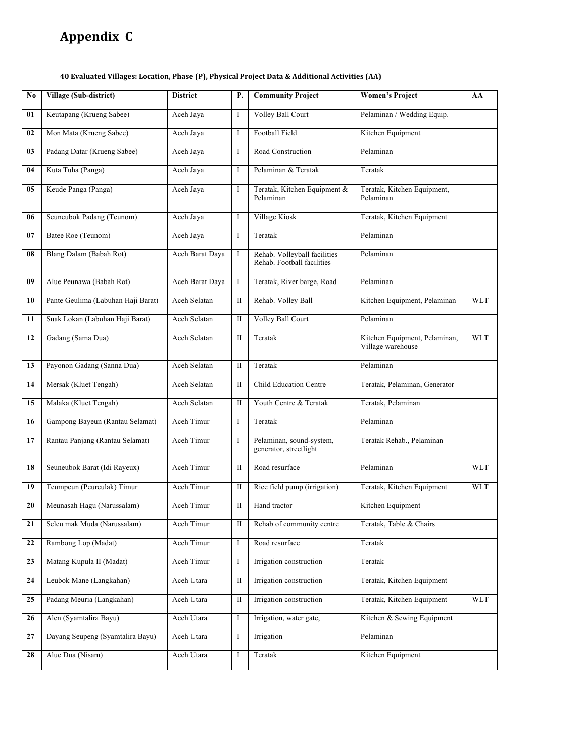# **Appendix

C**

#### **40
Evaluated
Villages:
Location,
Phase
(P),
Physical
Project
Data
&
Additional
Activities
(AA)**

| No. | Village (Sub-district)             | <b>District</b> | Р.           | <b>Community Project</b>                                   | <b>Women's Project</b>                             | AA         |
|-----|------------------------------------|-----------------|--------------|------------------------------------------------------------|----------------------------------------------------|------------|
| 01  | Keutapang (Krueng Sabee)           | Aceh Jaya       | I            | Volley Ball Court                                          | Pelaminan / Wedding Equip.                         |            |
| 02  | Mon Mata (Krueng Sabee)            | Aceh Jaya       | I            | Football Field                                             | Kitchen Equipment                                  |            |
| 03  | Padang Datar (Krueng Sabee)        | Aceh Jaya       | I            | Road Construction                                          | Pelaminan                                          |            |
| 04  | Kuta Tuha (Panga)                  | Aceh Jaya       | I            | Pelaminan & Teratak                                        | Teratak                                            |            |
| 05  | Keude Panga (Panga)                | Aceh Jaya       | I            | Teratak, Kitchen Equipment &<br>Pelaminan                  | Teratak, Kitchen Equipment,<br>Pelaminan           |            |
| 06  | Seuneubok Padang (Teunom)          | Aceh Jaya       | I            | Village Kiosk                                              | Teratak, Kitchen Equipment                         |            |
| 07  | Batee Roe (Teunom)                 | Aceh Jaya       | I            | Teratak                                                    | Pelaminan                                          |            |
| 08  | Blang Dalam (Babah Rot)            | Aceh Barat Daya | I            | Rehab. Volleyball facilities<br>Rehab. Football facilities | Pelaminan                                          |            |
| 09  | Alue Peunawa (Babah Rot)           | Aceh Barat Daya | I            | Teratak, River barge, Road                                 | Pelaminan                                          |            |
| 10  | Pante Geulima (Labuhan Haji Barat) | Aceh Selatan    | П            | Rehab. Volley Ball                                         | Kitchen Equipment, Pelaminan                       | WLT        |
| 11  | Suak Lokan (Labuhan Haji Barat)    | Aceh Selatan    | П            | Volley Ball Court                                          | Pelaminan                                          |            |
| 12  | Gadang (Sama Dua)                  | Aceh Selatan    | П            | Teratak                                                    | Kitchen Equipment, Pelaminan,<br>Village warehouse | <b>WLT</b> |
| 13  | Payonon Gadang (Sanna Dua)         | Aceh Selatan    | П            | Teratak                                                    | Pelaminan                                          |            |
| 14  | Mersak (Kluet Tengah)              | Aceh Selatan    | П            | Child Education Centre                                     | Teratak, Pelaminan, Generator                      |            |
| 15  | Malaka (Kluet Tengah)              | Aceh Selatan    | П            | Youth Centre & Teratak                                     | Teratak, Pelaminan                                 |            |
| 16  | Gampong Bayeun (Rantau Selamat)    | Aceh Timur      | I            | Teratak                                                    | Pelaminan                                          |            |
| 17  | Rantau Panjang (Rantau Selamat)    | Aceh Timur      | I            | Pelaminan, sound-system,<br>generator, streetlight         | Teratak Rehab., Pelaminan                          |            |
| 18  | Seuneubok Barat (Idi Rayeux)       | Aceh Timur      | $\mathbf{I}$ | Road resurface                                             | Pelaminan                                          | <b>WLT</b> |
| 19  | Teumpeun (Peureulak) Timur         | Aceh Timur      | П            | Rice field pump (irrigation)                               | Teratak, Kitchen Equipment                         | <b>WLT</b> |
| 20  | Meunasah Hagu (Narussalam)         | Aceh Timur      | П            | Hand tractor                                               | Kitchen Equipment                                  |            |
| 21  | Seleu mak Muda (Narussalam)        | Aceh Timur      | П            | Rehab of community centre                                  | Teratak, Table & Chairs                            |            |
| 22  | Rambong Lop (Madat)                | Aceh Timur      | I            | Road resurface                                             | Teratak                                            |            |
| 23  | Matang Kupula II (Madat)           | Aceh Timur      | I            | Irrigation construction                                    | Teratak                                            |            |
| 24  | Leubok Mane (Langkahan)            | Aceh Utara      | $\rm II$     | Irrigation construction                                    | Teratak, Kitchen Equipment                         |            |
| 25  | Padang Meuria (Langkahan)          | Aceh Utara      | Π            | Irrigation construction                                    | Teratak, Kitchen Equipment                         | <b>WLT</b> |
| 26  | Alen (Syamtalira Bayu)             | Aceh Utara      | I            | Irrigation, water gate,                                    | Kitchen & Sewing Equipment                         |            |
| 27  | Dayang Seupeng (Syamtalira Bayu)   | Aceh Utara      | I            | Irrigation                                                 | Pelaminan                                          |            |
| 28  | Alue Dua (Nisam)                   | Aceh Utara      | I            | Teratak                                                    | Kitchen Equipment                                  |            |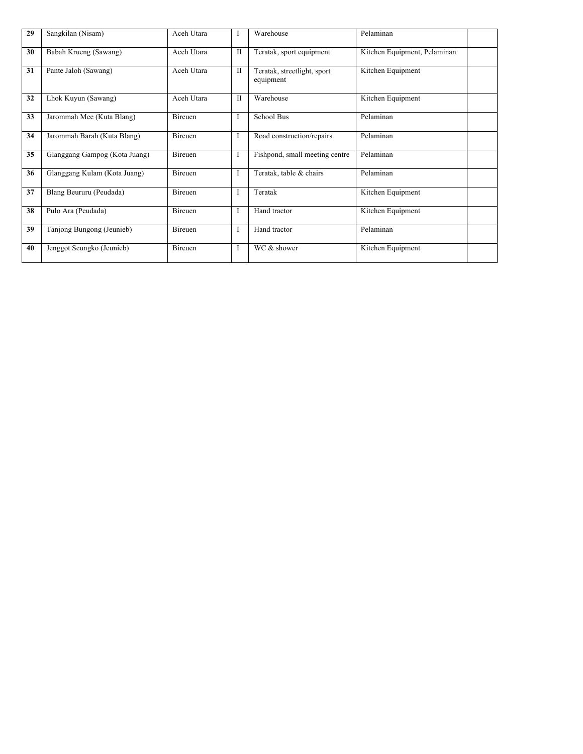| 29 | Sangkilan (Nisam)             | Aceh Utara | I            | Warehouse                                | Pelaminan                    |  |
|----|-------------------------------|------------|--------------|------------------------------------------|------------------------------|--|
| 30 | Babah Krueng (Sawang)         | Aceh Utara | П            | Teratak, sport equipment                 | Kitchen Equipment, Pelaminan |  |
| 31 | Pante Jaloh (Sawang)          | Aceh Utara | $_{\rm II}$  | Teratak, streetlight, sport<br>equipment | Kitchen Equipment            |  |
| 32 | Lhok Kuyun (Sawang)           | Aceh Utara | $\mathbf{I}$ | Warehouse                                | Kitchen Equipment            |  |
| 33 | Jarommah Mee (Kuta Blang)     | Bireuen    | I            | School Bus                               | Pelaminan                    |  |
| 34 | Jarommah Barah (Kuta Blang)   | Bireuen    | I            | Road construction/repairs                | Pelaminan                    |  |
| 35 | Glanggang Gampog (Kota Juang) | Bireuen    | I            | Fishpond, small meeting centre           | Pelaminan                    |  |
| 36 | Glanggang Kulam (Kota Juang)  | Bireuen    | I            | Teratak, table & chairs                  | Pelaminan                    |  |
| 37 | Blang Beururu (Peudada)       | Bireuen    | I            | Teratak                                  | Kitchen Equipment            |  |
| 38 | Pulo Ara (Peudada)            | Bireuen    | I            | Hand tractor                             | Kitchen Equipment            |  |
| 39 | Tanjong Bungong (Jeunieb)     | Bireuen    | I            | Hand tractor                             | Pelaminan                    |  |
| 40 | Jenggot Seungko (Jeunieb)     | Bireuen    | I            | WC & shower                              | Kitchen Equipment            |  |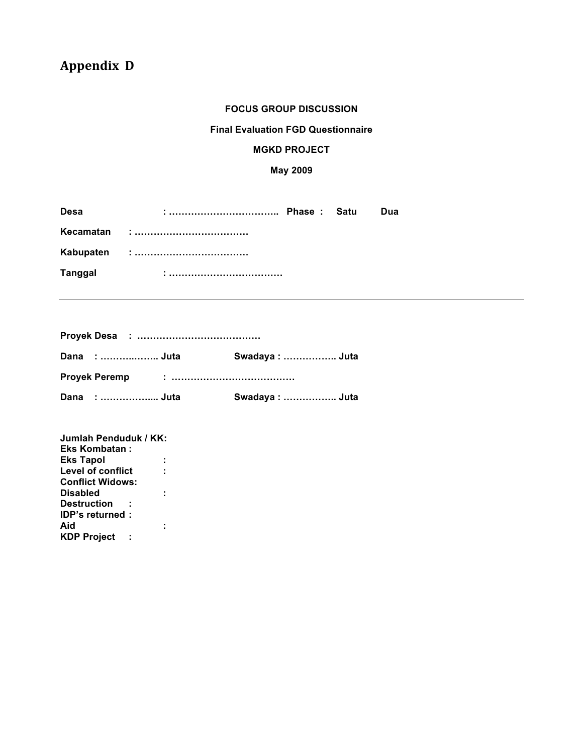# **Appendix

D**

### **FOCUS GROUP DISCUSSION**

#### **Final Evaluation FGD Questionnaire**

#### **MGKD PROJECT**

# **May 2009**

| <b>Desa</b>    |  |  | Dua |
|----------------|--|--|-----|
|                |  |  |     |
|                |  |  |     |
| <b>Tanggal</b> |  |  |     |

|  | Dana :  Juta |  | Swadaya:  Juta |  |
|--|--------------|--|----------------|--|
|  |              |  |                |  |
|  | Dana :  Juta |  | Swadaya:  Juta |  |

| Jumlah Penduduk / KK:   |  |
|-------------------------|--|
| <b>Eks Kombatan:</b>    |  |
| <b>Eks Tapol</b>        |  |
| Level of conflict       |  |
| <b>Conflict Widows:</b> |  |
| <b>Disabled</b>         |  |
| <b>Destruction</b>      |  |
| <b>IDP's returned:</b>  |  |
| Aid                     |  |
| <b>KDP Project</b>      |  |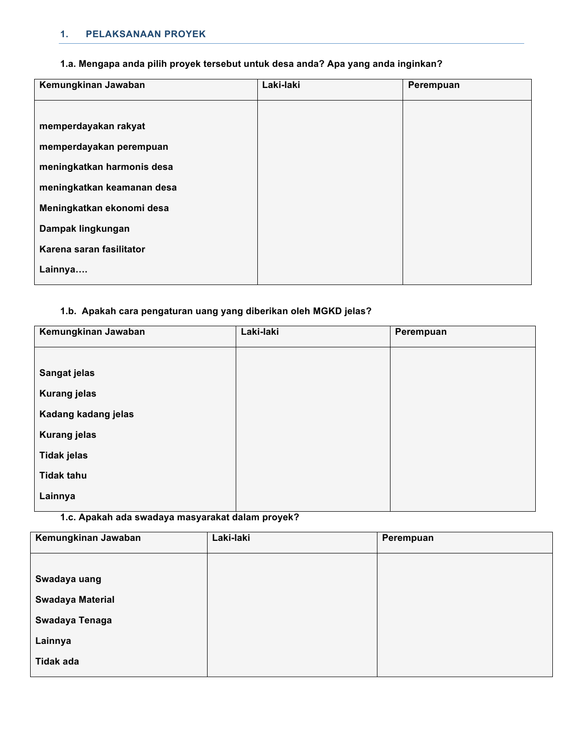# **1. PELAKSANAAN PROYEK**

# **1.a. Mengapa anda pilih proyek tersebut untuk desa anda? Apa yang anda inginkan?**

| Kemungkinan Jawaban        | Laki-laki | Perempuan |
|----------------------------|-----------|-----------|
|                            |           |           |
| memperdayakan rakyat       |           |           |
| memperdayakan perempuan    |           |           |
| meningkatkan harmonis desa |           |           |
| meningkatkan keamanan desa |           |           |
| Meningkatkan ekonomi desa  |           |           |
| Dampak lingkungan          |           |           |
| Karena saran fasilitator   |           |           |
| Lainnya                    |           |           |

# **1.b. Apakah cara pengaturan uang yang diberikan oleh MGKD jelas?**

| Kemungkinan Jawaban | Laki-laki | Perempuan |
|---------------------|-----------|-----------|
|                     |           |           |
| Sangat jelas        |           |           |
| <b>Kurang jelas</b> |           |           |
| Kadang kadang jelas |           |           |
| <b>Kurang jelas</b> |           |           |
| <b>Tidak jelas</b>  |           |           |
| <b>Tidak tahu</b>   |           |           |
| Lainnya             |           |           |
|                     |           |           |

**1.c. Apakah ada swadaya masyarakat dalam proyek?** 

| Kemungkinan Jawaban     | Laki-laki | Perempuan |
|-------------------------|-----------|-----------|
|                         |           |           |
| Swadaya uang            |           |           |
| <b>Swadaya Material</b> |           |           |
| Swadaya Tenaga          |           |           |
| Lainnya                 |           |           |
| <b>Tidak ada</b>        |           |           |
|                         |           |           |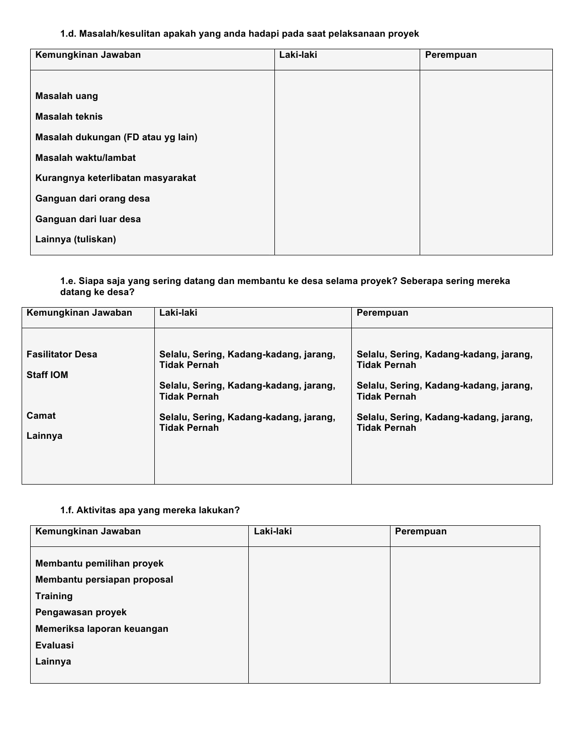### **1.d. Masalah/kesulitan apakah yang anda hadapi pada saat pelaksanaan proyek**

| Kemungkinan Jawaban                | Laki-laki | Perempuan |
|------------------------------------|-----------|-----------|
|                                    |           |           |
| <b>Masalah uang</b>                |           |           |
| <b>Masalah teknis</b>              |           |           |
| Masalah dukungan (FD atau yg lain) |           |           |
| Masalah waktu/lambat               |           |           |
| Kurangnya keterlibatan masyarakat  |           |           |
| Ganguan dari orang desa            |           |           |
| Ganguan dari luar desa             |           |           |
| Lainnya (tuliskan)                 |           |           |
|                                    |           |           |

#### **1.e. Siapa saja yang sering datang dan membantu ke desa selama proyek? Seberapa sering mereka datang ke desa?**

| Kemungkinan Jawaban                         | Laki-laki                                                                                                                      | Perempuan                                                                                                                      |
|---------------------------------------------|--------------------------------------------------------------------------------------------------------------------------------|--------------------------------------------------------------------------------------------------------------------------------|
| <b>Fasilitator Desa</b><br><b>Staff IOM</b> | Selalu, Sering, Kadang-kadang, jarang,<br><b>Tidak Pernah</b><br>Selalu, Sering, Kadang-kadang, jarang,<br><b>Tidak Pernah</b> | Selalu, Sering, Kadang-kadang, jarang,<br><b>Tidak Pernah</b><br>Selalu, Sering, Kadang-kadang, jarang,<br><b>Tidak Pernah</b> |
| Camat<br>Lainnya                            | Selalu, Sering, Kadang-kadang, jarang,<br><b>Tidak Pernah</b>                                                                  | Selalu, Sering, Kadang-kadang, jarang,<br><b>Tidak Pernah</b>                                                                  |

# **1.f. Aktivitas apa yang mereka lakukan?**

| Kemungkinan Jawaban         | Laki-laki | Perempuan |
|-----------------------------|-----------|-----------|
|                             |           |           |
| Membantu pemilihan proyek   |           |           |
| Membantu persiapan proposal |           |           |
| <b>Training</b>             |           |           |
| Pengawasan proyek           |           |           |
| Memeriksa laporan keuangan  |           |           |
| Evaluasi                    |           |           |
| Lainnya                     |           |           |
|                             |           |           |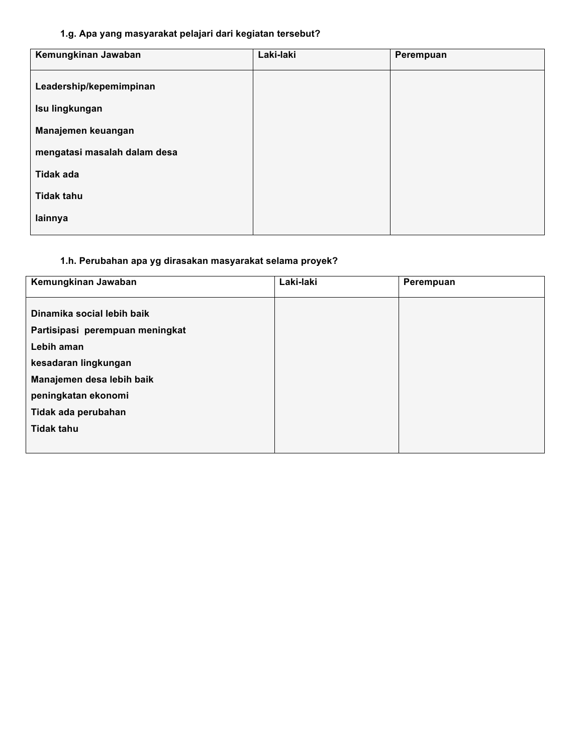# **1.g. Apa yang masyarakat pelajari dari kegiatan tersebut?**

| Kemungkinan Jawaban          | Laki-laki | Perempuan |
|------------------------------|-----------|-----------|
| Leadership/kepemimpinan      |           |           |
| Isu lingkungan               |           |           |
| Manajemen keuangan           |           |           |
| mengatasi masalah dalam desa |           |           |
| <b>Tidak ada</b>             |           |           |
| <b>Tidak tahu</b>            |           |           |
| lainnya                      |           |           |

# **1.h. Perubahan apa yg dirasakan masyarakat selama proyek?**

| Kemungkinan Jawaban             | Laki-laki | Perempuan |
|---------------------------------|-----------|-----------|
|                                 |           |           |
| Dinamika social lebih baik      |           |           |
| Partisipasi perempuan meningkat |           |           |
| Lebih aman                      |           |           |
| kesadaran lingkungan            |           |           |
| Manajemen desa lebih baik       |           |           |
| peningkatan ekonomi             |           |           |
| Tidak ada perubahan             |           |           |
| <b>Tidak tahu</b>               |           |           |
|                                 |           |           |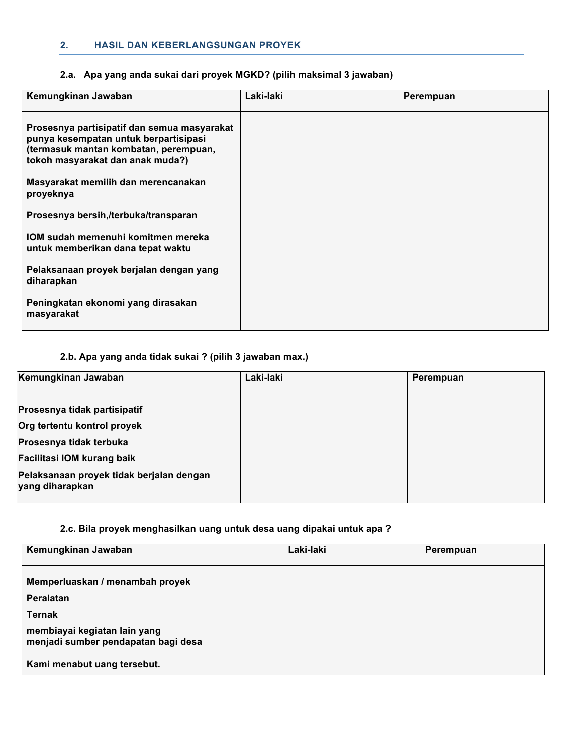#### **2. HASIL DAN KEBERLANGSUNGAN PROYEK**

# **2.a. Apa yang anda sukai dari proyek MGKD? (pilih maksimal 3 jawaban)**

| Kemungkinan Jawaban                                                                                                                                               | Laki-laki | Perempuan |
|-------------------------------------------------------------------------------------------------------------------------------------------------------------------|-----------|-----------|
| Prosesnya partisipatif dan semua masyarakat<br>punya kesempatan untuk berpartisipasi<br>(termasuk mantan kombatan, perempuan,<br>tokoh masyarakat dan anak muda?) |           |           |
| Masyarakat memilih dan merencanakan<br>proyeknya                                                                                                                  |           |           |
| Prosesnya bersih,/terbuka/transparan                                                                                                                              |           |           |
| IOM sudah memenuhi komitmen mereka<br>untuk memberikan dana tepat waktu                                                                                           |           |           |
| Pelaksanaan proyek berjalan dengan yang<br>diharapkan                                                                                                             |           |           |
| Peningkatan ekonomi yang dirasakan<br>masyarakat                                                                                                                  |           |           |

# **2.b. Apa yang anda tidak sukai ? (pilih 3 jawaban max.)**

| Kemungkinan Jawaban                                         | Laki-laki | Perempuan |
|-------------------------------------------------------------|-----------|-----------|
| Prosesnya tidak partisipatif                                |           |           |
| Org tertentu kontrol proyek                                 |           |           |
| Prosesnya tidak terbuka                                     |           |           |
| Facilitasi IOM kurang baik                                  |           |           |
| Pelaksanaan proyek tidak berjalan dengan<br>yang diharapkan |           |           |

#### **2.c. Bila proyek menghasilkan uang untuk desa uang dipakai untuk apa ?**

| Kemungkinan Jawaban                                                 | Laki-laki | Perempuan |
|---------------------------------------------------------------------|-----------|-----------|
| Memperluaskan / menambah proyek                                     |           |           |
| Peralatan                                                           |           |           |
| <b>Ternak</b>                                                       |           |           |
| membiayai kegiatan lain yang<br>menjadi sumber pendapatan bagi desa |           |           |
| Kami menabut uang tersebut.                                         |           |           |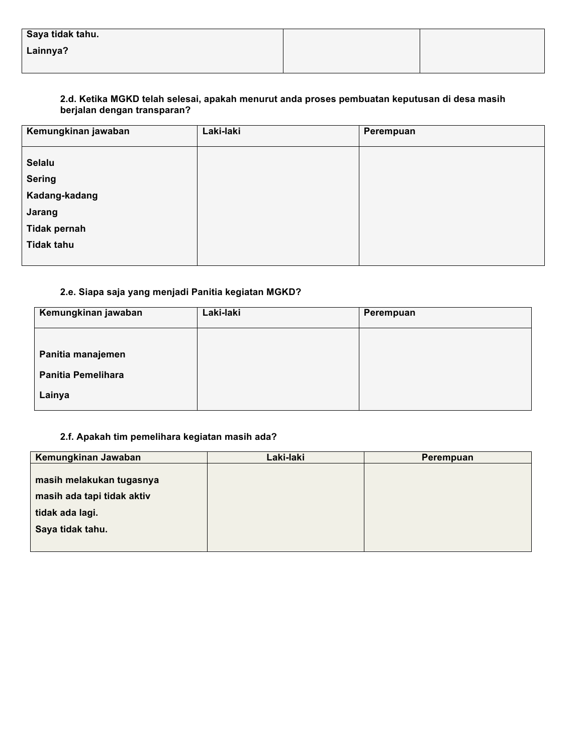| Saya tidak tahu. |  |
|------------------|--|
| Lainnya?         |  |
|                  |  |

### **2.d. Ketika MGKD telah selesai, apakah menurut anda proses pembuatan keputusan di desa masih berjalan dengan transparan?**

| Kemungkinan jawaban                                                              | Laki-laki | Perempuan |
|----------------------------------------------------------------------------------|-----------|-----------|
| <b>Selalu</b><br><b>Sering</b><br>Kadang-kadang<br>Jarang<br><b>Tidak pernah</b> |           |           |
| <b>Tidak tahu</b>                                                                |           |           |

# **2.e. Siapa saja yang menjadi Panitia kegiatan MGKD?**

| Kemungkinan jawaban       | Laki-laki | Perempuan |
|---------------------------|-----------|-----------|
|                           |           |           |
| Panitia manajemen         |           |           |
| <b>Panitia Pemelihara</b> |           |           |
| Lainya                    |           |           |

# **2.f. Apakah tim pemelihara kegiatan masih ada?**

| Kemungkinan Jawaban        | Laki-laki | Perempuan |
|----------------------------|-----------|-----------|
|                            |           |           |
| masih melakukan tugasnya   |           |           |
| masih ada tapi tidak aktiv |           |           |
| tidak ada lagi.            |           |           |
| Saya tidak tahu.           |           |           |
|                            |           |           |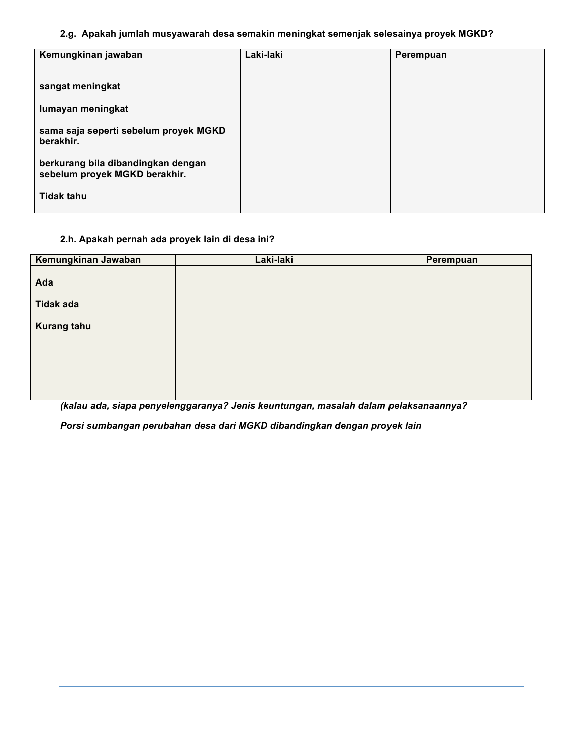### **2.g. Apakah jumlah musyawarah desa semakin meningkat semenjak selesainya proyek MGKD?**

| Kemungkinan jawaban                                                 | Laki-laki | Perempuan |
|---------------------------------------------------------------------|-----------|-----------|
| sangat meningkat                                                    |           |           |
| lumayan meningkat                                                   |           |           |
| sama saja seperti sebelum proyek MGKD<br>berakhir.                  |           |           |
| berkurang bila dibandingkan dengan<br>sebelum proyek MGKD berakhir. |           |           |
| <b>Tidak tahu</b>                                                   |           |           |

# **2.h. Apakah pernah ada proyek lain di desa ini?**

| Kemungkinan Jawaban | Laki-laki | Perempuan |
|---------------------|-----------|-----------|
|                     |           |           |
| Ada                 |           |           |
| <b>Tidak ada</b>    |           |           |
| <b>Kurang tahu</b>  |           |           |
|                     |           |           |
|                     |           |           |
|                     |           |           |
|                     |           |           |
|                     |           |           |

*(kalau ada, siapa penyelenggaranya? Jenis keuntungan, masalah dalam pelaksanaannya?*

*Porsi sumbangan perubahan desa dari MGKD dibandingkan dengan proyek lain*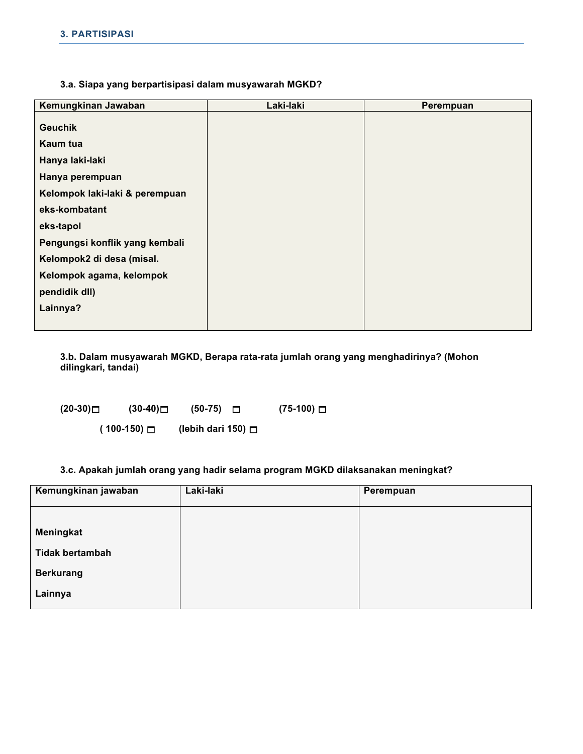#### **3.a. Siapa yang berpartisipasi dalam musyawarah MGKD?**

| Kemungkinan Jawaban            | Laki-laki | Perempuan |
|--------------------------------|-----------|-----------|
| <b>Geuchik</b>                 |           |           |
| Kaum tua                       |           |           |
| Hanya laki-laki                |           |           |
| Hanya perempuan                |           |           |
| Kelompok laki-laki & perempuan |           |           |
| eks-kombatant                  |           |           |
| eks-tapol                      |           |           |
| Pengungsi konflik yang kembali |           |           |
| Kelompok2 di desa (misal.      |           |           |
| Kelompok agama, kelompok       |           |           |
| pendidik dll)                  |           |           |
| Lainnya?                       |           |           |
|                                |           |           |

**3.b. Dalam musyawarah MGKD, Berapa rata-rata jumlah orang yang menghadirinya? (Mohon dilingkari, tandai)**

**(20-30) (30-40) (50-75) (75-100)** 

 **( 100-150) (lebih dari 150)** 

**3.c. Apakah jumlah orang yang hadir selama program MGKD dilaksanakan meningkat?**

| Kemungkinan jawaban    | Laki-laki | Perempuan |
|------------------------|-----------|-----------|
|                        |           |           |
| Meningkat              |           |           |
| <b>Tidak bertambah</b> |           |           |
| <b>Berkurang</b>       |           |           |
| Lainnya                |           |           |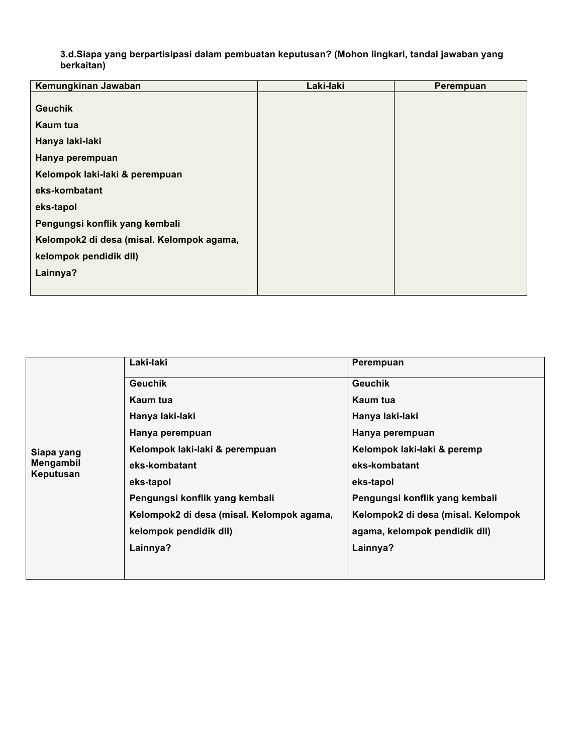**3.d.Siapa yang berpartisipasi dalam pembuatan keputusan? (Mohon lingkari, tandai jawaban yang berkaitan)** 

| Kemungkinan Jawaban                       | Laki-laki | Perempuan |
|-------------------------------------------|-----------|-----------|
|                                           |           |           |
| <b>Geuchik</b>                            |           |           |
| Kaum tua                                  |           |           |
| Hanya laki-laki                           |           |           |
| Hanya perempuan                           |           |           |
| Kelompok laki-laki & perempuan            |           |           |
| eks-kombatant                             |           |           |
| eks-tapol                                 |           |           |
| Pengungsi konflik yang kembali            |           |           |
| Kelompok2 di desa (misal. Kelompok agama, |           |           |
| kelompok pendidik dll)                    |           |           |
| Lainnya?                                  |           |           |
|                                           |           |           |

|            | Laki-laki                                 | Perempuan                          |
|------------|-------------------------------------------|------------------------------------|
|            | <b>Geuchik</b>                            | <b>Geuchik</b>                     |
|            | Kaum tua                                  | Kaum tua                           |
|            | Hanya laki-laki                           | Hanya laki-laki                    |
|            | Hanya perempuan                           | Hanya perempuan                    |
| Siapa yang | Kelompok laki-laki & perempuan            | Kelompok laki-laki & peremp        |
| Mengambil  | eks-kombatant                             | eks-kombatant                      |
| Keputusan  | eks-tapol                                 | eks-tapol                          |
|            | Pengungsi konflik yang kembali            | Pengungsi konflik yang kembali     |
|            | Kelompok2 di desa (misal. Kelompok agama, | Kelompok2 di desa (misal. Kelompok |
|            | kelompok pendidik dll)                    | agama, kelompok pendidik dll)      |
|            | Lainnya?                                  | Lainnya?                           |
|            |                                           |                                    |
|            |                                           |                                    |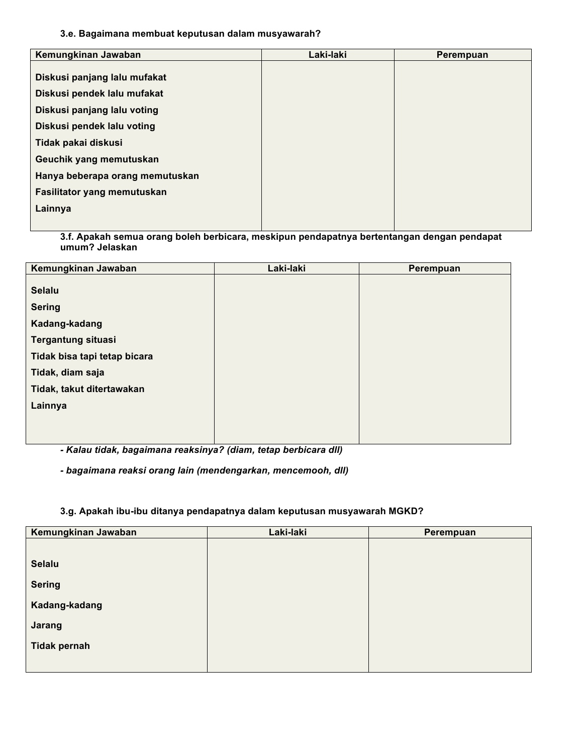#### **3.e. Bagaimana membuat keputusan dalam musyawarah?**

| Kemungkinan Jawaban             | Laki-laki | Perempuan |
|---------------------------------|-----------|-----------|
| Diskusi panjang lalu mufakat    |           |           |
| Diskusi pendek lalu mufakat     |           |           |
| Diskusi panjang lalu voting     |           |           |
| Diskusi pendek lalu voting      |           |           |
| Tidak pakai diskusi             |           |           |
| Geuchik yang memutuskan         |           |           |
| Hanya beberapa orang memutuskan |           |           |
| Fasilitator yang memutuskan     |           |           |
| Lainnya                         |           |           |
|                                 |           |           |

**3.f. Apakah semua orang boleh berbicara, meskipun pendapatnya bertentangan dengan pendapat umum? Jelaskan** 

| Kemungkinan Jawaban          | Laki-laki | Perempuan |
|------------------------------|-----------|-----------|
|                              |           |           |
| <b>Selalu</b>                |           |           |
| <b>Sering</b>                |           |           |
| Kadang-kadang                |           |           |
| <b>Tergantung situasi</b>    |           |           |
| Tidak bisa tapi tetap bicara |           |           |
| Tidak, diam saja             |           |           |
| Tidak, takut ditertawakan    |           |           |
| Lainnya                      |           |           |
|                              |           |           |
|                              |           |           |

*- Kalau tidak, bagaimana reaksinya? (diam, tetap berbicara dll)*

*- bagaimana reaksi orang lain (mendengarkan, mencemooh, dll)*

### **3.g. Apakah ibu-ibu ditanya pendapatnya dalam keputusan musyawarah MGKD?**

| Kemungkinan Jawaban | Laki-laki | Perempuan |
|---------------------|-----------|-----------|
|                     |           |           |
| <b>Selalu</b>       |           |           |
| <b>Sering</b>       |           |           |
| Kadang-kadang       |           |           |
| Jarang              |           |           |
| <b>Tidak pernah</b> |           |           |
|                     |           |           |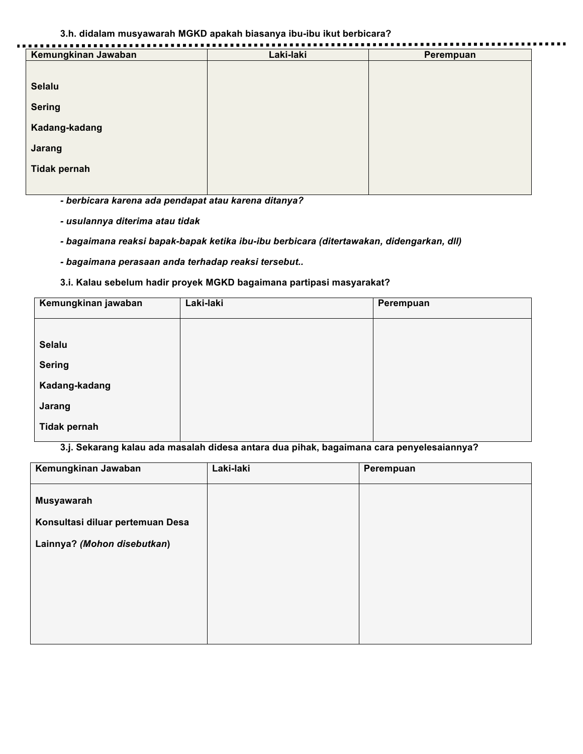#### **3.h. didalam musyawarah MGKD apakah biasanya ibu-ibu ikut berbicara?**

| Kemungkinan Jawaban | Laki-laki | Perempuan |
|---------------------|-----------|-----------|
| <b>Selalu</b>       |           |           |
| <b>Sering</b>       |           |           |
| Kadang-kadang       |           |           |
| Jarang              |           |           |
| <b>Tidak pernah</b> |           |           |

*- berbicara karena ada pendapat atau karena ditanya?*

- *usulannya diterima atau tidak*
- *bagaimana reaksi bapak-bapak ketika ibu-ibu berbicara (ditertawakan, didengarkan, dll)*
- *bagaimana perasaan anda terhadap reaksi tersebut..*

### **3.i. Kalau sebelum hadir proyek MGKD bagaimana partipasi masyarakat?**

| Kemungkinan jawaban | Laki-laki | Perempuan |
|---------------------|-----------|-----------|
|                     |           |           |
| <b>Selalu</b>       |           |           |
| <b>Sering</b>       |           |           |
| Kadang-kadang       |           |           |
| Jarang              |           |           |
| <b>Tidak pernah</b> |           |           |

**3.j. Sekarang kalau ada masalah didesa antara dua pihak, bagaimana cara penyelesaiannya?**

| Kemungkinan Jawaban                            | Laki-laki | Perempuan |
|------------------------------------------------|-----------|-----------|
| Musyawarah<br>Konsultasi diluar pertemuan Desa |           |           |
| Lainnya? (Mohon disebutkan)                    |           |           |
|                                                |           |           |
|                                                |           |           |
|                                                |           |           |
|                                                |           |           |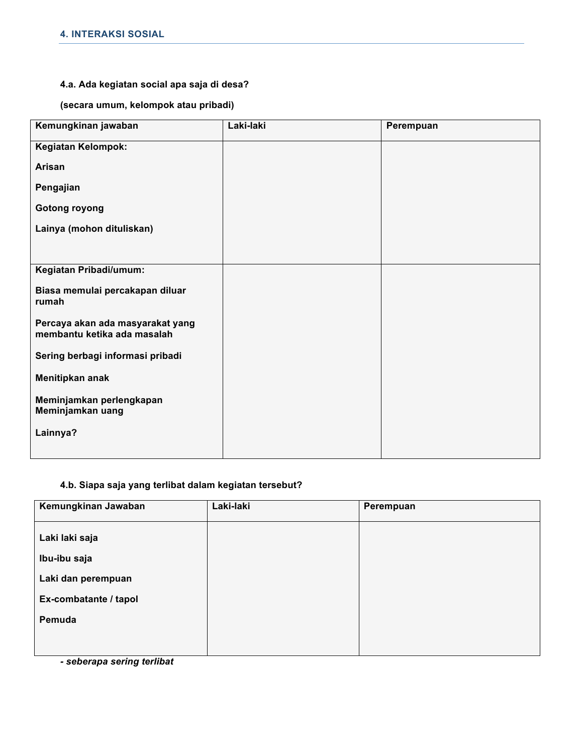### **4.a. Ada kegiatan social apa saja di desa?**

**(secara umum, kelompok atau pribadi)**

| Kemungkinan jawaban                                             | Laki-laki | Perempuan |
|-----------------------------------------------------------------|-----------|-----------|
| Kegiatan Kelompok:                                              |           |           |
| Arisan                                                          |           |           |
| Pengajian                                                       |           |           |
| <b>Gotong royong</b>                                            |           |           |
| Lainya (mohon dituliskan)                                       |           |           |
|                                                                 |           |           |
| Kegiatan Pribadi/umum:                                          |           |           |
| Biasa memulai percakapan diluar<br>rumah                        |           |           |
| Percaya akan ada masyarakat yang<br>membantu ketika ada masalah |           |           |
| Sering berbagi informasi pribadi                                |           |           |
| Menitipkan anak                                                 |           |           |
| Meminjamkan perlengkapan<br>Meminjamkan uang                    |           |           |
| Lainnya?                                                        |           |           |
|                                                                 |           |           |

# **4.b. Siapa saja yang terlibat dalam kegiatan tersebut?**

| Kemungkinan Jawaban   | Laki-laki | Perempuan |
|-----------------------|-----------|-----------|
| Laki laki saja        |           |           |
| Ibu-ibu saja          |           |           |
| Laki dan perempuan    |           |           |
| Ex-combatante / tapol |           |           |
| Pemuda                |           |           |
|                       |           |           |

*- seberapa sering terlibat*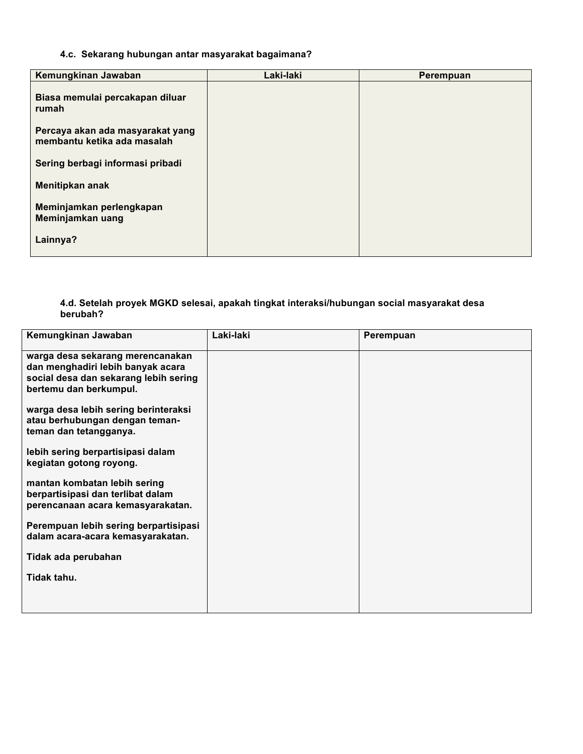# **4.c. Sekarang hubungan antar masyarakat bagaimana?**

| Kemungkinan Jawaban                                             | Laki-laki | Perempuan |
|-----------------------------------------------------------------|-----------|-----------|
| Biasa memulai percakapan diluar<br>rumah                        |           |           |
| Percaya akan ada masyarakat yang<br>membantu ketika ada masalah |           |           |
| Sering berbagi informasi pribadi                                |           |           |
| Menitipkan anak                                                 |           |           |
| Meminjamkan perlengkapan<br>Meminjamkan uang                    |           |           |
| Lainnya?                                                        |           |           |

#### **4.d. Setelah proyek MGKD selesai, apakah tingkat interaksi/hubungan social masyarakat desa berubah?**

| Kemungkinan Jawaban                                                                                                                      | Laki-laki | Perempuan |
|------------------------------------------------------------------------------------------------------------------------------------------|-----------|-----------|
| warga desa sekarang merencanakan<br>dan menghadiri lebih banyak acara<br>social desa dan sekarang lebih sering<br>bertemu dan berkumpul. |           |           |
| warga desa lebih sering berinteraksi<br>atau berhubungan dengan teman-<br>teman dan tetangganya.                                         |           |           |
| lebih sering berpartisipasi dalam<br>kegiatan gotong royong.                                                                             |           |           |
| mantan kombatan lebih sering<br>berpartisipasi dan terlibat dalam<br>perencanaan acara kemasyarakatan.                                   |           |           |
| Perempuan lebih sering berpartisipasi<br>dalam acara-acara kemasyarakatan.                                                               |           |           |
| Tidak ada perubahan                                                                                                                      |           |           |
| Tidak tahu.                                                                                                                              |           |           |
|                                                                                                                                          |           |           |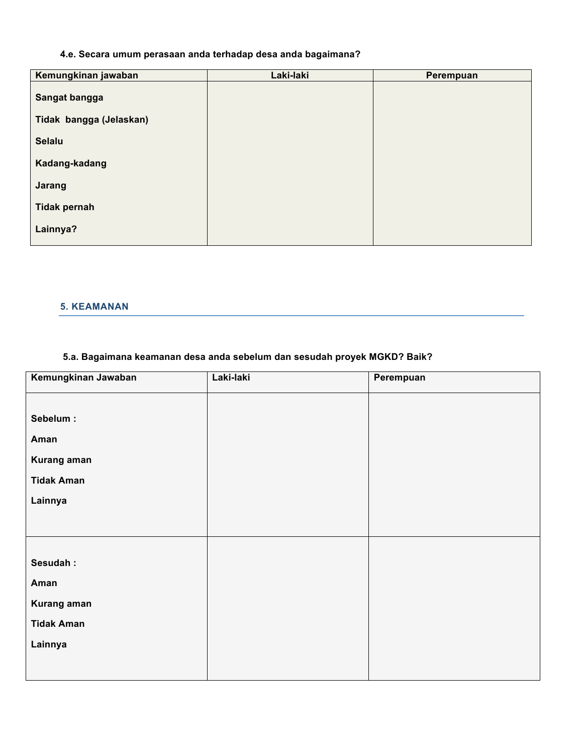# **4.e. Secara umum perasaan anda terhadap desa anda bagaimana?**

| Kemungkinan jawaban     | Laki-laki | Perempuan |
|-------------------------|-----------|-----------|
| Sangat bangga           |           |           |
| Tidak bangga (Jelaskan) |           |           |
| <b>Selalu</b>           |           |           |
| Kadang-kadang           |           |           |
| Jarang                  |           |           |
| <b>Tidak pernah</b>     |           |           |
| Lainnya?                |           |           |
|                         |           |           |

# **5. KEAMANAN**

# **5.a. Bagaimana keamanan desa anda sebelum dan sesudah proyek MGKD? Baik?**

| Kemungkinan Jawaban | Laki-laki | Perempuan |
|---------------------|-----------|-----------|
|                     |           |           |
| Sebelum:            |           |           |
| Aman                |           |           |
| Kurang aman         |           |           |
| <b>Tidak Aman</b>   |           |           |
| Lainnya             |           |           |
|                     |           |           |
|                     |           |           |
| Sesudah:            |           |           |
| Aman                |           |           |
| Kurang aman         |           |           |
| <b>Tidak Aman</b>   |           |           |
|                     |           |           |
| Lainnya             |           |           |
|                     |           |           |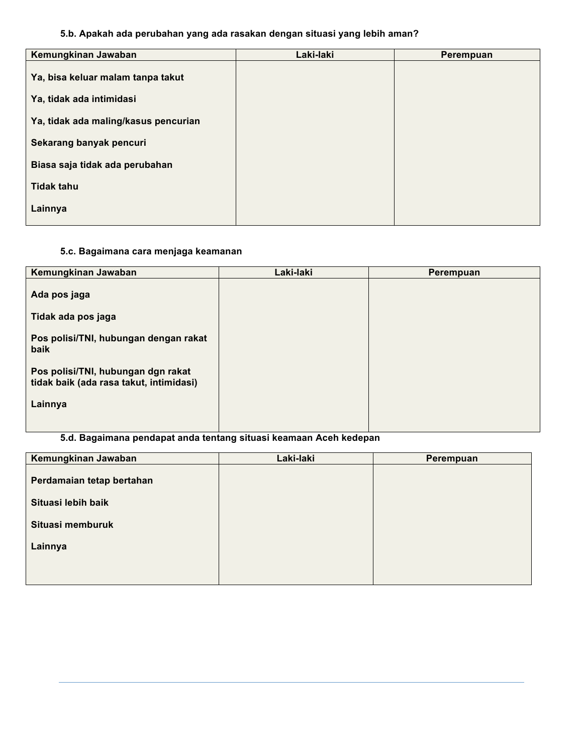# **5.b. Apakah ada perubahan yang ada rasakan dengan situasi yang lebih aman?**

| Kemungkinan Jawaban                  | Laki-laki | Perempuan |
|--------------------------------------|-----------|-----------|
| Ya, bisa keluar malam tanpa takut    |           |           |
| Ya, tidak ada intimidasi             |           |           |
| Ya, tidak ada maling/kasus pencurian |           |           |
| Sekarang banyak pencuri              |           |           |
| Biasa saja tidak ada perubahan       |           |           |
| <b>Tidak tahu</b>                    |           |           |
| Lainnya                              |           |           |

### **5.c. Bagaimana cara menjaga keamanan**

| Kemungkinan Jawaban                                                           | Laki-laki | Perempuan |
|-------------------------------------------------------------------------------|-----------|-----------|
| Ada pos jaga                                                                  |           |           |
| Tidak ada pos jaga                                                            |           |           |
| Pos polisi/TNI, hubungan dengan rakat<br>baik                                 |           |           |
| Pos polisi/TNI, hubungan dgn rakat<br>tidak baik (ada rasa takut, intimidasi) |           |           |
| Lainnya                                                                       |           |           |
|                                                                               |           |           |

# **5.d. Bagaimana pendapat anda tentang situasi keamaan Aceh kedepan**

| Kemungkinan Jawaban       | Laki-laki | Perempuan |
|---------------------------|-----------|-----------|
| Perdamaian tetap bertahan |           |           |
| Situasi lebih baik        |           |           |
| Situasi memburuk          |           |           |
| Lainnya                   |           |           |
|                           |           |           |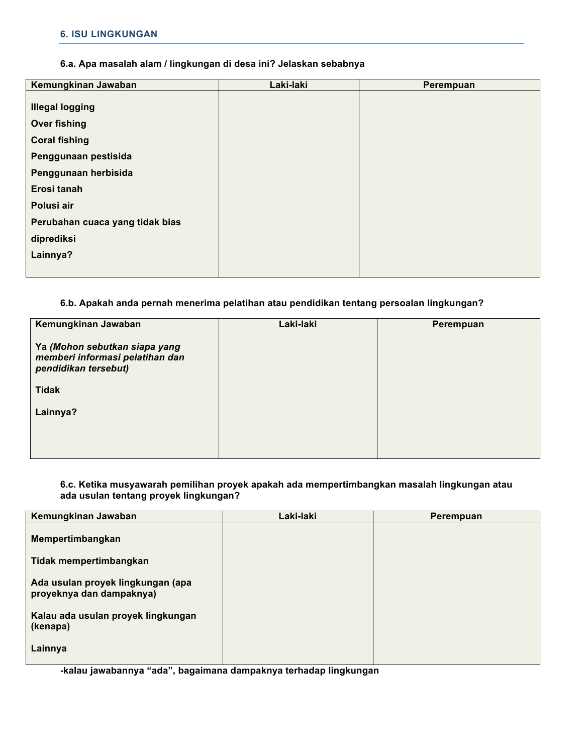#### **6.a. Apa masalah alam / lingkungan di desa ini? Jelaskan sebabnya**

| Kemungkinan Jawaban             | Laki-laki | Perempuan |
|---------------------------------|-----------|-----------|
|                                 |           |           |
| <b>Illegal logging</b>          |           |           |
| <b>Over fishing</b>             |           |           |
| <b>Coral fishing</b>            |           |           |
| Penggunaan pestisida            |           |           |
| Penggunaan herbisida            |           |           |
| Erosi tanah                     |           |           |
| Polusi air                      |           |           |
| Perubahan cuaca yang tidak bias |           |           |
| diprediksi                      |           |           |
| Lainnya?                        |           |           |
|                                 |           |           |

### **6.b. Apakah anda pernah menerima pelatihan atau pendidikan tentang persoalan lingkungan?**

| Kemungkinan Jawaban                                                                      | Laki-laki | Perempuan |
|------------------------------------------------------------------------------------------|-----------|-----------|
| Ya (Mohon sebutkan siapa yang<br>memberi informasi pelatihan dan<br>pendidikan tersebut) |           |           |
| <b>Tidak</b>                                                                             |           |           |
| Lainnya?                                                                                 |           |           |
|                                                                                          |           |           |
|                                                                                          |           |           |

### **6.c. Ketika musyawarah pemilihan proyek apakah ada mempertimbangkan masalah lingkungan atau ada usulan tentang proyek lingkungan?**

| Kemungkinan Jawaban                                           | Laki-laki | Perempuan |
|---------------------------------------------------------------|-----------|-----------|
| Mempertimbangkan                                              |           |           |
| Tidak mempertimbangkan                                        |           |           |
| Ada usulan proyek lingkungan (apa<br>proyeknya dan dampaknya) |           |           |
| Kalau ada usulan proyek lingkungan<br>(kenapa)                |           |           |
| Lainnya                                                       |           |           |

**-kalau jawabannya "ada", bagaimana dampaknya terhadap lingkungan**